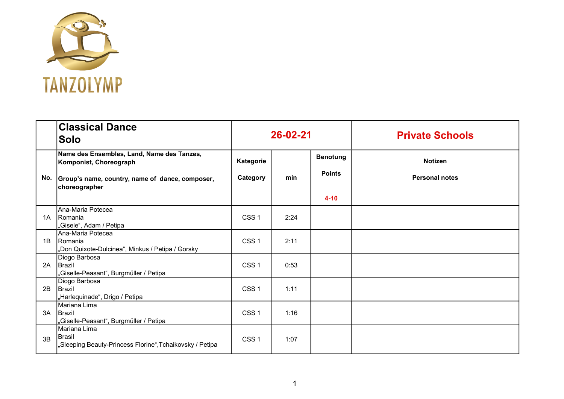

|    | <b>Classical Dance</b><br>Solo                                                                                                               | 26-02-21              |      |                                              | <b>Private Schools</b>                  |
|----|----------------------------------------------------------------------------------------------------------------------------------------------|-----------------------|------|----------------------------------------------|-----------------------------------------|
|    | Name des Ensembles, Land, Name des Tanzes,<br>Komponist, Choreograph<br>No. Group's name, country, name of dance, composer,<br>choreographer | Kategorie<br>Category | min  | <b>Benotung</b><br><b>Points</b><br>$4 - 10$ | <b>Notizen</b><br><b>Personal notes</b> |
| 1A | Ana-Maria Potecea<br>Romania<br>"Gisele", Adam / Petipa                                                                                      | CSS <sub>1</sub>      | 2:24 |                                              |                                         |
| 1B | IAna-Maria Potecea<br>IRomania<br>"Don Quixote-Dulcinea", Minkus / Petipa / Gorsky                                                           | CSS <sub>1</sub>      | 2:11 |                                              |                                         |
| 2A | Diogo Barbosa<br>Brazil<br>"Giselle-Peasant", Burgmüller / Petipa                                                                            | CSS <sub>1</sub>      | 0:53 |                                              |                                         |
| 2B | Diogo Barbosa<br>Brazil<br>"Harlequinade", Drigo / Petipa                                                                                    | CSS <sub>1</sub>      | 1:11 |                                              |                                         |
| 3A | Mariana Lima<br><b>IBrazil</b><br>"Giselle-Peasant", Burgmüller / Petipa                                                                     | CSS <sub>1</sub>      | 1:16 |                                              |                                         |
| 3B | Mariana Lima<br>Brasil<br>"Sleeping Beauty-Princess Florine",Tchaikovsky / Petipa                                                            | CSS <sub>1</sub>      | 1:07 |                                              |                                         |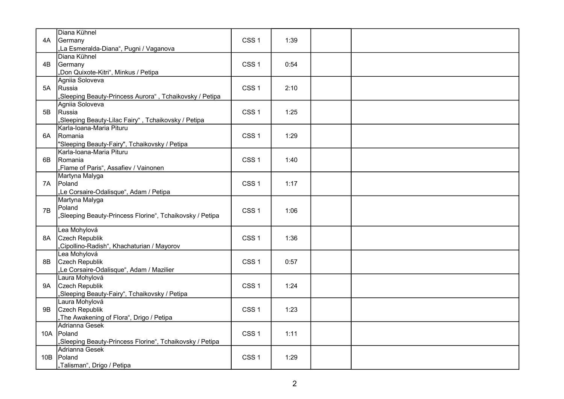| 4A  | Diana Kühnel<br>Germany<br>"La Esmeralda-Diana", Pugni / Vaganova                         | CSS <sub>1</sub> | 1:39 |  |
|-----|-------------------------------------------------------------------------------------------|------------------|------|--|
| 4B  | Diana Kühnel<br>Germany<br>"Don Quixote-Kitri", Minkus / Petipa                           | CSS <sub>1</sub> | 0:54 |  |
| 5A  | Agniia Soloveva<br>Russia<br>"Sleeping Beauty-Princess Aurora", Tchaikovsky / Petipa      | CSS <sub>1</sub> | 2:10 |  |
| 5B  | Agniia Soloveva<br>Russia<br>"Sleeping Beauty-Lilac Fairy", Tchaikovsky / Petipa          | CSS <sub>1</sub> | 1:25 |  |
| 6A  | Karla-Ioana-Maria Pituru<br>Romania<br>"Sleeping Beauty-Fairy", Tchaikovsky / Petipa      | CSS <sub>1</sub> | 1:29 |  |
| 6B  | Karla-Ioana-Maria Pituru<br>Romania<br>"Flame of Paris", Assafiev / Vainonen              | CSS <sub>1</sub> | 1:40 |  |
| 7A  | Martyna Malyga<br>Poland<br>"Le Corsaire-Odalisque", Adam / Petipa                        | CSS <sub>1</sub> | 1:17 |  |
| 7B  | Martyna Malyga<br>Poland<br>"Sleeping Beauty-Princess Florine", Tchaikovsky / Petipa      | CSS <sub>1</sub> | 1:06 |  |
| 8A  | Lea Mohylová<br>Czech Republik<br>"Cipollino-Radish", Khachaturian / Mayorov              | CSS <sub>1</sub> | 1:36 |  |
| 8Β  | Lea Mohylová<br>Czech Republik<br>"Le Corsaire-Odalisque", Adam / Mazilier                | CSS <sub>1</sub> | 0:57 |  |
| 9A  | Laura Mohylová<br>Czech Republik<br>"Sleeping Beauty-Fairy" <u>, Tchaikovsky / Petipa</u> | CSS <sub>1</sub> | 1:24 |  |
| 9B  | Laura Mohylová<br>Czech Republik<br>"The Awakening of Flora", Drigo / Petipa              | CSS <sub>1</sub> | 1:23 |  |
|     | Adrianna Gesek<br>10A Poland<br>"Sleeping Beauty-Princess Florine", Tchaikovsky / Petipa  | CSS <sub>1</sub> | 1:11 |  |
| 10B | Adrianna Gesek<br>Poland<br>"Talisman", Drigo / Petipa                                    | CSS <sub>1</sub> | 1:29 |  |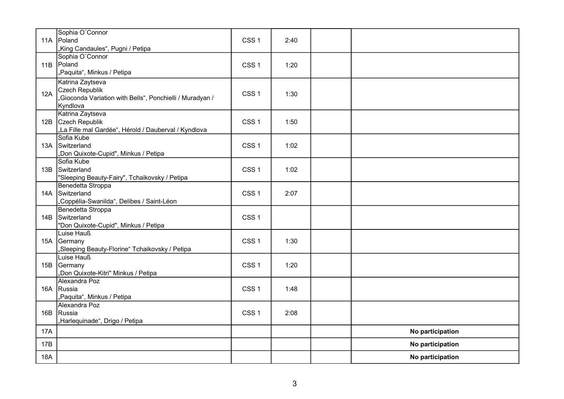|            | Sophia O'Connor<br>11A Poland<br>"King Candaules", Pugni / Petipa                                          | CSS <sub>1</sub> | 2:40 |                  |
|------------|------------------------------------------------------------------------------------------------------------|------------------|------|------------------|
| 11B        | Sophia O'Connor<br>Poland<br>"Paquita", Minkus / Petipa                                                    | CSS <sub>1</sub> | 1:20 |                  |
| 12A        | Katrina Zaytseva<br>Czech Republik<br>"Gioconda Variation with Bells", Ponchielli / Muradyan /<br>Kyndlova | CSS <sub>1</sub> | 1:30 |                  |
|            | Katrina Zaytseva<br>12B Czech Republik<br>"La Fille mal Gardée", Hérold / Dauberval / Kyndlova             | CSS <sub>1</sub> | 1:50 |                  |
|            | Sofia Kube<br>13A Switzerland<br>"Don Quixote-Cupid", Minkus / Petipa                                      | CSS <sub>1</sub> | 1:02 |                  |
| 13B        | Sofia Kube<br>Switzerland<br>"Sleeping Beauty-Fairy", Tchaikovsky / Petipa                                 | CSS <sub>1</sub> | 1:02 |                  |
|            | Benedetta Stroppa<br>14A Switzerland<br>"Coppélia-Swanilda", Delibes / Saint-Léon                          | CSS <sub>1</sub> | 2:07 |                  |
| 14B        | Benedetta Stroppa<br>Switzerland<br>"Don Quixote-Cupid", Minkus / Petipa                                   | CSS <sub>1</sub> |      |                  |
| 15A        | Luise Hauß<br>Germany<br>"Sleeping Beauty-Florine" Tchaikovsky / Petipa                                    | CSS <sub>1</sub> | 1:30 |                  |
|            | Luise Hauß<br>15B Germany<br>"Don Quixote-Kitri" Minkus / Petipa                                           | CSS <sub>1</sub> | 1:20 |                  |
|            | Alexandra Poz<br>16A Russia<br>"Paquita", Minkus / Petipa                                                  | CSS <sub>1</sub> | 1:48 |                  |
| 16B        | Alexandra Poz<br>Russia<br>"Harlequinade", Drigo / Petipa                                                  | CSS <sub>1</sub> | 2:08 |                  |
| <b>17A</b> |                                                                                                            |                  |      | No participation |
| 17B        |                                                                                                            |                  |      | No participation |
| <b>18A</b> |                                                                                                            |                  |      | No participation |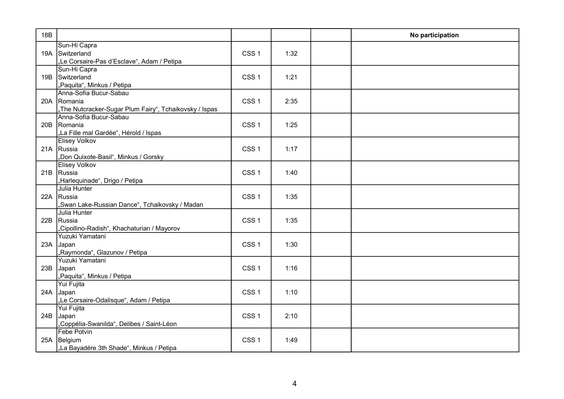| 18B |                                                                                                 |                  |      | No participation |
|-----|-------------------------------------------------------------------------------------------------|------------------|------|------------------|
|     | Sun-Hi Capra<br>19A Switzerland<br>"Le Corsaire-Pas d'Esclave", Adam / Petipa                   | CSS <sub>1</sub> | 1:32 |                  |
| 19B | Sun-Hi Capra<br>Switzerland<br>"Paquita", Minkus / Petipa                                       | CSS <sub>1</sub> | 1:21 |                  |
|     | Anna-Sofia Bucur-Sabau<br>20A Romania<br>"The Nutcracker-Sugar Plum Fairy", Tchaikovsky / Ispas | CSS <sub>1</sub> | 2:35 |                  |
| 20B | Anna-Sofia Bucur-Sabau<br>Romania<br>"La Fille mal Gardée", Hérold / Ispas                      | CSS <sub>1</sub> | 1:25 |                  |
|     | <b>Elisey Volkov</b><br>21A Russia<br>"Don Quixote-Basil", Minkus / Gorsky                      | CSS <sub>1</sub> | 1:17 |                  |
|     | <b>Elisey Volkov</b><br>21B Russia<br>"Harlequinade", Drigo / Petipa                            | CSS <sub>1</sub> | 1:40 |                  |
|     | Julia Hunter<br>22A Russia<br>"Swan Lake-Russian Dance", Tchaikovsky / Madan                    | CSS <sub>1</sub> | 1:35 |                  |
| 22B | Julia Hunter<br>Russia<br>"Cipollino-Radish", Khachaturian / Mayorov                            | CSS <sub>1</sub> | 1:35 |                  |
|     | Yuzuki Yamatani<br>23A Japan<br>"Raymonda", Glazunov / Petipa                                   | CSS <sub>1</sub> | 1:30 |                  |
| 23B | Yuzuki Yamatani<br>Japan<br>"Paquita", Minkus / Petipa                                          | CSS <sub>1</sub> | 1:16 |                  |
| 24A | Yui Fujita<br>Japan<br>"Le Corsaire-Odalisque", Adam / Petipa                                   | CSS <sub>1</sub> | 1:10 |                  |
| 24B | Yui Fujita<br>Japan<br>"Coppélia-Swanilda", Delibes / Saint-Léon                                | CSS <sub>1</sub> | 2:10 |                  |
| 25A | <b>Febe Potvin</b><br>Belgium<br>"La Bayadére 3th Shade", Minkus / Petipa                       | CSS <sub>1</sub> | 1:49 |                  |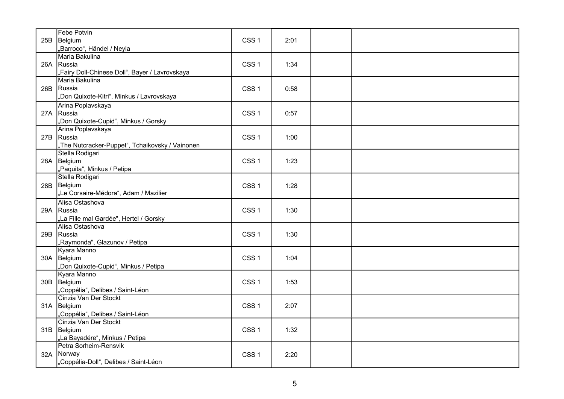|     | Febe Potvin                                     |                  |      |  |
|-----|-------------------------------------------------|------------------|------|--|
| 25B | Belgium                                         | CSS <sub>1</sub> | 2:01 |  |
|     | "Barroco", Händel / Neyla                       |                  |      |  |
|     | Maria Bakulina                                  |                  |      |  |
|     | 26A Russia                                      | CSS <sub>1</sub> | 1:34 |  |
|     | "Fairy Doll-Chinese Doll", Bayer / Lavrovskaya  |                  |      |  |
|     | Maria Bakulina                                  |                  |      |  |
| 26B | Russia                                          | CSS <sub>1</sub> | 0:58 |  |
|     | "Don Quixote-Kitri", Minkus / Lavrovskaya       |                  |      |  |
|     | Arina Poplavskaya                               |                  |      |  |
|     | 27A Russia                                      | CSS <sub>1</sub> | 0:57 |  |
|     | "Don Quixote-Cupid", Minkus / Gorsky            |                  |      |  |
|     | Arina Poplavskaya                               |                  |      |  |
|     | 27B Russia                                      | CSS <sub>1</sub> | 1:00 |  |
|     | "The Nutcracker-Puppet", Tchaikovsky / Vainonen |                  |      |  |
|     | Stella Rodigari                                 |                  |      |  |
|     | 28A Belgium                                     | CSS <sub>1</sub> | 1:23 |  |
|     | "Paquita", Minkus / Petipa                      |                  |      |  |
|     | Stella Rodigari                                 |                  |      |  |
|     | 28B Belgium                                     | CSS <sub>1</sub> | 1:28 |  |
|     | "Le Corsaire-Médora", Adam / Mazilier           |                  |      |  |
|     | Alisa Ostashova                                 |                  |      |  |
|     | 29A Russia                                      | CSS <sub>1</sub> | 1:30 |  |
|     | "La Fille mal Gardée", Hertel / Gorsky          |                  |      |  |
|     | Alisa Ostashova                                 |                  |      |  |
| 29B | Russia                                          | CSS <sub>1</sub> | 1:30 |  |
|     | "Raymonda", Glazunov / Petipa                   |                  |      |  |
|     | Kyara Manno                                     |                  |      |  |
|     | 30A Belgium                                     | CSS <sub>1</sub> | 1:04 |  |
|     | "Don Quixote-Cupid", Minkus / Petipa            |                  |      |  |
|     | Kyara Manno                                     |                  |      |  |
|     | 30B Belgium                                     | CSS <sub>1</sub> | 1:53 |  |
|     | "Coppélia", Delibes / Saint-Léon                |                  |      |  |
|     | Cinzia Van Der Stockt                           |                  |      |  |
|     | 31A Belgium                                     | CSS <sub>1</sub> | 2:07 |  |
|     | "Coppélia", Delibes / Saint-Léon                |                  |      |  |
|     | Cinzia Van Der Stockt                           |                  |      |  |
|     | 31B Belgium                                     | CSS <sub>1</sub> | 1:32 |  |
|     | "La Bayadére", Minkus / Petipa                  |                  |      |  |
|     | Petra Sorheim-Rensvik                           |                  |      |  |
| 32A | Norway                                          | CSS <sub>1</sub> | 2:20 |  |
|     | "Coppélia-Doll", Delibes / Saint-Léon           |                  |      |  |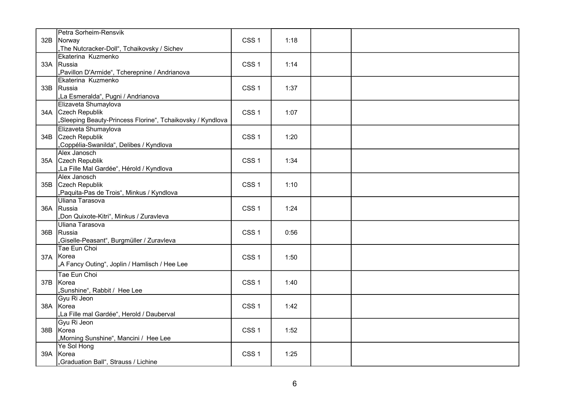|     | Petra Sorheim-Rensvik                                      |                  |      |  |
|-----|------------------------------------------------------------|------------------|------|--|
| 32B | Norway                                                     | CSS <sub>1</sub> | 1:18 |  |
|     | "The Nutcracker-Doll", Tchaikovsky / Sichev                |                  |      |  |
|     | Ekaterina Kuzmenko                                         |                  |      |  |
|     | 33A Russia                                                 | CSS <sub>1</sub> | 1:14 |  |
|     | "Pavillon D'Armide", Tcherepnine / Andrianova              |                  |      |  |
|     | Ekaterina Kuzmenko                                         |                  |      |  |
|     | 33B Russia                                                 | CSS <sub>1</sub> | 1:37 |  |
|     | "La Esmeralda", Pugni / Andrianova                         |                  |      |  |
|     | Elizaveta Shumaylova                                       |                  |      |  |
|     | 34A Czech Republik                                         | CSS <sub>1</sub> | 1:07 |  |
|     | "Sleeping Beauty-Princess Florine", Tchaikovsky / Kyndlova |                  |      |  |
|     | Elizaveta Shumaylova                                       |                  |      |  |
| 34B | Czech Republik                                             | CSS <sub>1</sub> | 1:20 |  |
|     | "Coppélia-Swanilda", Delibes / Kyndlova                    |                  |      |  |
|     | Alex Janosch                                               |                  |      |  |
| 35A | Czech Republik                                             | CSS <sub>1</sub> | 1:34 |  |
|     | "La Fille Mal Gardée", Hérold / Kyndlova                   |                  |      |  |
|     | Alex Janosch                                               |                  |      |  |
| 35B | Czech Republik                                             | CSS <sub>1</sub> | 1:10 |  |
|     | "Paquita-Pas de Trois", Minkus / Kyndlova                  |                  |      |  |
|     | Uliana Tarasova                                            |                  |      |  |
|     | 36A Russia                                                 | CSS <sub>1</sub> | 1:24 |  |
|     | "Don Quixote-Kitri", Minkus / Zuravleva                    |                  |      |  |
|     | Uliana Tarasova                                            |                  |      |  |
|     | 36B Russia                                                 | CSS <sub>1</sub> | 0:56 |  |
|     | "Giselle-Peasant", Burgmüller / Zuravleva                  |                  |      |  |
|     | Tae Eun Choi                                               |                  |      |  |
| 37A | Korea                                                      | CSS <sub>1</sub> | 1:50 |  |
|     | "A Fancy Outing", Joplin / Hamlisch / Hee Lee              |                  |      |  |
|     | Tae Eun Choi                                               |                  |      |  |
| 37B | Korea                                                      | CSS <sub>1</sub> | 1:40 |  |
|     | "Sunshine", Rabbit / Hee Lee                               |                  |      |  |
|     | Gyu Ri Jeon                                                |                  |      |  |
|     | 38A Korea                                                  | CSS <sub>1</sub> | 1:42 |  |
|     | "La Fille mal Gardée", Herold / Dauberval                  |                  |      |  |
|     | Gyu Ri Jeon                                                |                  |      |  |
| 38B | Korea                                                      | CSS <sub>1</sub> | 1:52 |  |
|     | "Morning Sunshine", Mancini / Hee Lee                      |                  |      |  |
|     | Ye Sol Hong                                                |                  |      |  |
| 39A | Korea                                                      | CSS <sub>1</sub> | 1:25 |  |
|     | "Graduation Ball", Strauss / Lichine                       |                  |      |  |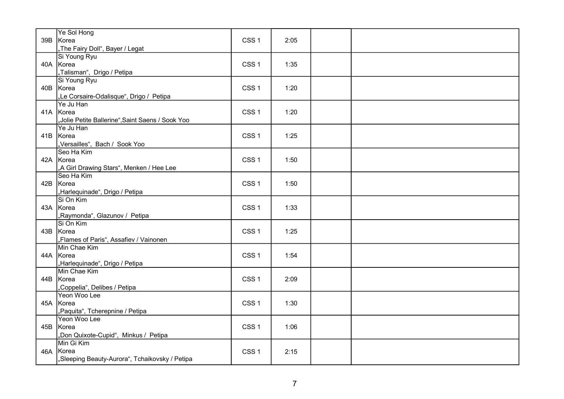| Ye Sol Hong<br>39B Korea<br>"The Fairy Doll", Bayer / Legat               | CSS <sub>1</sub> | 2:05 |  |
|---------------------------------------------------------------------------|------------------|------|--|
| Si Young Ryu<br>40A Korea<br>"Talisman", Drigo / Petipa                   | CSS <sub>1</sub> | 1:35 |  |
| Si Young Ryu<br>40B Korea<br>"Le Corsaire-Odalisque", Drigo / Petipa      | CSS <sub>1</sub> | 1:20 |  |
| Ye Ju Han<br>41A Korea<br>"Jolie Petite Ballerine",Saint Saens / Sook Yoo | CSS <sub>1</sub> | 1:20 |  |
| Ye Ju Han<br>41B Korea<br>"Versailles", Bach / Sook Yoo                   | CSS <sub>1</sub> | 1:25 |  |
| Seo Ha Kim<br>42A Korea<br>"A Girl Drawing Stars", Menken / Hee Lee       | CSS <sub>1</sub> | 1:50 |  |
| Seo Ha Kim<br>42B Korea<br>"Harlequinade", Drigo / Petipa                 | CSS <sub>1</sub> | 1:50 |  |
| Si On Kim<br>43A Korea<br>"Raymonda", Glazunov / Petipa                   | CSS <sub>1</sub> | 1:33 |  |
| Si On Kim<br>43B Korea<br>"Flames of Paris", Assafiev / Vainonen          | CSS <sub>1</sub> | 1:25 |  |
| Min Chae Kim<br>44A Korea<br>"Harlequinade", Drigo / Petipa               | CSS <sub>1</sub> | 1:54 |  |
| Min Chae Kim<br>44B Korea<br>"Coppelia", Delibes / Petipa                 | CSS <sub>1</sub> | 2:09 |  |
| Yeon Woo Lee<br>45A Korea<br>"Paquita", Tcherepnine / Petipa              | CSS <sub>1</sub> | 1:30 |  |
| Yeon Woo Lee<br>45B Korea<br>"Don Quixote-Cupid", Minkus / Petipa         | CSS <sub>1</sub> | 1:06 |  |
| Min Gi Kim<br>46A Korea<br>"Sleeping Beauty-Aurora", Tchaikovsky / Petipa | CSS <sub>1</sub> | 2:15 |  |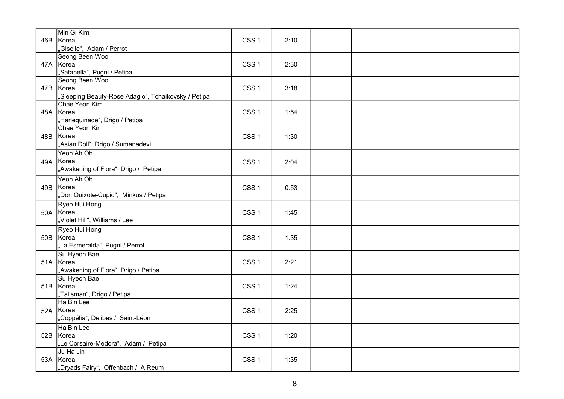| 46B | Min Gi Kim<br>Korea                                              | CSS <sub>1</sub> | 2:10 |  |
|-----|------------------------------------------------------------------|------------------|------|--|
|     | ,Giselle", Adam / Perrot                                         |                  |      |  |
|     | Seong Been Woo<br>47A Korea                                      | CSS <sub>1</sub> | 2:30 |  |
|     | "Satanella", Pugni / Petipa                                      |                  |      |  |
|     | Seong Been Woo                                                   |                  |      |  |
|     | 47B Korea<br>"Sleeping Beauty-Rose Adagio", Tchaikovsky / Petipa | CSS <sub>1</sub> | 3:18 |  |
|     | Chae Yeon Kim                                                    |                  |      |  |
|     | 48A Korea                                                        | CSS <sub>1</sub> | 1:54 |  |
|     | "Harlequinade", Drigo / Petipa                                   |                  |      |  |
|     | Chae Yeon Kim                                                    |                  |      |  |
|     | 48B Korea<br>"Asian Doll", Drigo / Sumanadevi                    | CSS <sub>1</sub> | 1:30 |  |
|     | Yeon Ah Oh                                                       |                  |      |  |
|     | 49A Korea                                                        | CSS <sub>1</sub> | 2:04 |  |
|     | "Awakening of Flora", Drigo / Petipa                             |                  |      |  |
|     | Yeon Ah Oh                                                       |                  |      |  |
| 49B | Korea                                                            | CSS <sub>1</sub> | 0:53 |  |
|     | "Don Quixote-Cupid", Minkus / Petipa                             |                  |      |  |
|     | Ryeo Hui Hong<br>50A Korea                                       | CSS <sub>1</sub> | 1:45 |  |
|     | "Violet Hill", Williams / Lee                                    |                  |      |  |
|     | Ryeo Hui Hong                                                    |                  |      |  |
|     | 50B Korea                                                        | CSS <sub>1</sub> | 1:35 |  |
|     | "La Esmeralda", Pugni / Perrot                                   |                  |      |  |
|     | Su Hyeon Bae                                                     |                  |      |  |
|     | 51A Korea                                                        | CSS <sub>1</sub> | 2:21 |  |
|     | "Awakening of Flora", Drigo / Petipa<br>Su Hyeon Bae             |                  |      |  |
|     | 51B Korea                                                        | CSS <sub>1</sub> | 1:24 |  |
|     | "Talisman", Drigo / Petipa                                       |                  |      |  |
|     | Ha Bin Lee                                                       |                  |      |  |
|     | 52A Korea                                                        | CSS <sub>1</sub> | 2:25 |  |
|     | "Coppélia", Delibes / Saint-Léon                                 |                  |      |  |
|     | Ha Bin Lee                                                       |                  |      |  |
|     | 52B Korea<br>"Le Corsaire-Medora", Adam / Petipa                 | CSS <sub>1</sub> | 1:20 |  |
|     | Ju Ha Jin                                                        |                  |      |  |
|     | 53A Korea                                                        | CSS <sub>1</sub> | 1:35 |  |
|     | Dryads Fairy", Offenbach / A Reum                                |                  |      |  |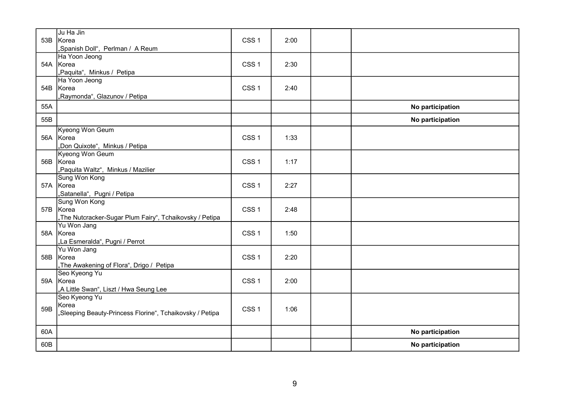|     | Ju Ha Jin                                                |                  |      |                  |
|-----|----------------------------------------------------------|------------------|------|------------------|
|     | 53B Korea                                                | CSS <sub>1</sub> | 2:00 |                  |
|     | "Spanish Doll", Perlman / A Reum                         |                  |      |                  |
|     | Ha Yoon Jeong                                            |                  |      |                  |
|     | 54A Korea                                                | CSS <sub>1</sub> | 2:30 |                  |
|     | "Paquita", Minkus / Petipa                               |                  |      |                  |
|     | Ha Yoon Jeong                                            |                  |      |                  |
|     | 54B Korea                                                | CSS <sub>1</sub> | 2:40 |                  |
|     | "Raymonda", Glazunov / Petipa                            |                  |      |                  |
| 55A |                                                          |                  |      | No participation |
| 55B |                                                          |                  |      | No participation |
|     | Kyeong Won Geum                                          |                  |      |                  |
|     | 56A Korea                                                | CSS <sub>1</sub> | 1:33 |                  |
|     | "Don Quixote", Minkus / Petipa                           |                  |      |                  |
|     | Kyeong Won Geum                                          |                  |      |                  |
|     | 56B Korea                                                | CSS <sub>1</sub> | 1:17 |                  |
|     | "Paquita Waltz", Minkus / Mazilier                       |                  |      |                  |
|     | Sung Won Kong                                            |                  |      |                  |
|     | 57A Korea                                                | CSS <sub>1</sub> | 2:27 |                  |
|     | "Satanella", Pugni / Petipa                              |                  |      |                  |
|     | Sung Won Kong<br>57B Korea                               | CSS <sub>1</sub> | 2:48 |                  |
|     | "The Nutcracker-Sugar Plum Fairy", Tchaikovsky / Petipa  |                  |      |                  |
|     | Yu Won Jang                                              |                  |      |                  |
|     | 58A Korea                                                | CSS <sub>1</sub> | 1:50 |                  |
|     | "La Esmeralda", Pugni / Perrot                           |                  |      |                  |
|     | Yu Won Jang                                              |                  |      |                  |
|     | 58B Korea                                                | CSS <sub>1</sub> | 2:20 |                  |
|     | "The Awakening of Flora", Drigo / Petipa                 |                  |      |                  |
|     | Seo Kyeong Yu                                            |                  |      |                  |
|     | 59A Korea                                                | CSS <sub>1</sub> | 2:00 |                  |
|     | "A Little Swan", Liszt / Hwa Seung Lee                   |                  |      |                  |
|     | Seo Kyeong Yu                                            |                  |      |                  |
| 59B | Korea                                                    | CSS <sub>1</sub> | 1:06 |                  |
|     | "Sleeping Beauty-Princess Florine", Tchaikovsky / Petipa |                  |      |                  |
| 60A |                                                          |                  |      | No participation |
|     |                                                          |                  |      |                  |
| 60B |                                                          |                  |      | No participation |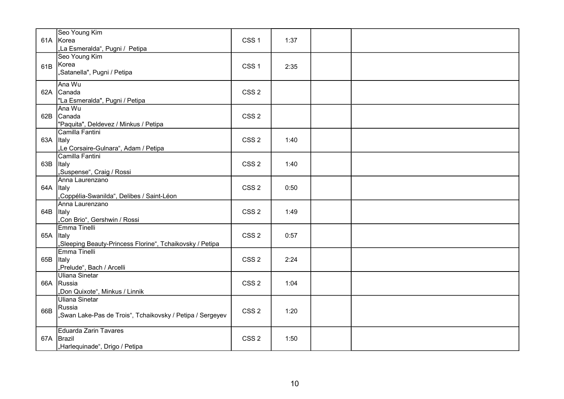|           | Seo Young Kim<br>61A Korea<br>"La Esmeralda", Pugni / Petipa                          | CSS <sub>1</sub> | 1:37 |  |
|-----------|---------------------------------------------------------------------------------------|------------------|------|--|
| 61B       | Seo Young Kim<br>Korea<br>"Satanella", Pugni / Petipa                                 | CSS <sub>1</sub> | 2:35 |  |
|           | Ana Wu<br>62A Canada<br>"La Esmeralda", Pugni / Petipa                                | CSS <sub>2</sub> |      |  |
|           | Ana Wu<br>62B Canada<br>"Paquita", Deldevez / Minkus / Petipa                         | CSS <sub>2</sub> |      |  |
| 63A Italy | Camilla Fantini<br>"Le Corsaire-Gulnara", Adam / Petipa                               | CSS <sub>2</sub> | 1:40 |  |
| 63B Italy | Camilla Fantini<br>"Suspense", Craig / Rossi                                          | CSS <sub>2</sub> | 1:40 |  |
| 64A Italy | Anna Laurenzano<br>,Coppélia-Swanilda", Delibes / Saint-Léon                          | CSS <sub>2</sub> | 0:50 |  |
| 64B       | Anna Laurenzano<br><b>Italy</b><br>"Con Brio", Gershwin / Rossi                       | CSS <sub>2</sub> | 1:49 |  |
| 65A Italy | Emma Tinelli<br>"Sleeping Beauty-Princess Florine", Tchaikovsky / Petipa              | CSS <sub>2</sub> | 0:57 |  |
| 65B Italy | Emma Tinelli<br>"Prelude", Bach / Arcelli                                             | CSS <sub>2</sub> | 2:24 |  |
| 66A       | Uliana Sinetar<br>Russia<br>"Don Quixote", Minkus / Linnik                            | CSS <sub>2</sub> | 1:04 |  |
| 66B       | Uliana Sinetar<br>Russia<br>"Swan Lake-Pas de Trois", Tchaikovsky / Petipa / Sergeyev | CSS <sub>2</sub> | 1:20 |  |
| 67A       | Eduarda Zarin Tavares<br>Brazil<br>"Harlequinade", Drigo / Petipa                     | CSS <sub>2</sub> | 1:50 |  |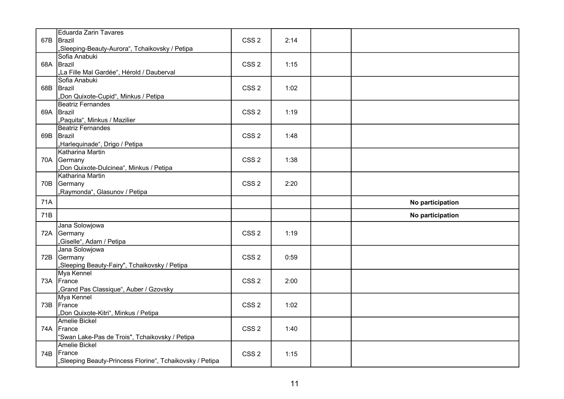| 67B | Eduarda Zarin Tavares<br>Brazil<br>"Sleeping-Beauty-Aurora", Tchaikovsky / Petipa                        | CSS <sub>2</sub> | 2:14 |                  |
|-----|----------------------------------------------------------------------------------------------------------|------------------|------|------------------|
| 68A | Sofia Anabuki<br>Brazil<br>"La Fille Mal Gardée", Hérold / Dauberval                                     | CSS <sub>2</sub> | 1:15 |                  |
| 68B | Sofia Anabuki<br>Brazil<br>"Don Quixote-Cupid", Minkus / Petipa                                          | CSS <sub>2</sub> | 1:02 |                  |
| 69A | Beatriz Fernandes<br>Brazil<br>"Paquita", Minkus / Mazilier                                              | CSS <sub>2</sub> | 1:19 |                  |
|     | Beatriz Fernandes<br>69B Brazil<br>"Harlequinade", Drigo / Petipa                                        | CSS <sub>2</sub> | 1:48 |                  |
|     | Katharina Martin<br>70A Germany<br>"Don Quixote-Dulcinea", Minkus / Petipa                               | CSS <sub>2</sub> | 1:38 |                  |
|     | Katharina Martin<br>70B Germany<br>Raymonda", Glasunov / Petipa                                          | CSS <sub>2</sub> | 2:20 |                  |
| 71A |                                                                                                          |                  |      | No participation |
|     |                                                                                                          |                  |      |                  |
| 71B |                                                                                                          |                  |      | No participation |
| 72A | Jana Solowjowa<br>Germany<br>"Giselle", Adam / Petipa                                                    | CSS <sub>2</sub> | 1:19 |                  |
| 72B | Jana Solowjowa<br>Germany<br>"Sleeping Beauty-Fairy", Tchaikovsky / Petipa                               | CSS <sub>2</sub> | 0:59 |                  |
|     | Mya Kennel<br>73A France<br>"Grand Pas Classique", Auber / Gzovsky                                       | CSS <sub>2</sub> | 2:00 |                  |
|     | Mya Kennel<br>73B France<br>"Don Quixote-Kitri", Minkus / Petipa                                         | CSS <sub>2</sub> | 1:02 |                  |
| 74A | <b>Amelie Bickel</b><br>France<br>'Swan Lake-Pas de Trois", Tchaikovsky / Petipa<br><b>Amelie Bickel</b> | CSS <sub>2</sub> | 1:40 |                  |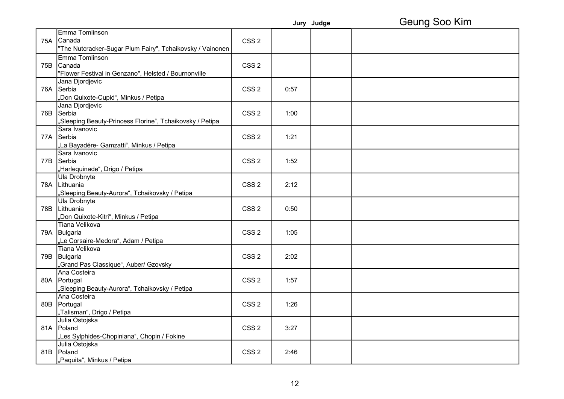|     |                                                           |                  |      | Jury Judge | Geung Soo Kim |
|-----|-----------------------------------------------------------|------------------|------|------------|---------------|
|     | Emma Tomlinson                                            |                  |      |            |               |
|     | 75A Canada                                                | CSS <sub>2</sub> |      |            |               |
|     | "The Nutcracker-Sugar Plum Fairy", Tchaikovsky / Vainonen |                  |      |            |               |
|     | Emma Tomlinson                                            |                  |      |            |               |
|     | 75B Canada                                                | CSS <sub>2</sub> |      |            |               |
|     | "Flower Festival in Genzano", Helsted / Bournonville      |                  |      |            |               |
|     | Jana Djordjevic                                           |                  |      |            |               |
| 76A | Serbia                                                    | CSS <sub>2</sub> | 0:57 |            |               |
|     | "Don Quixote-Cupid", Minkus / Petipa                      |                  |      |            |               |
|     | Jana Djordjevic                                           |                  |      |            |               |
| 76B | Serbia                                                    | CSS <sub>2</sub> | 1:00 |            |               |
|     | "Sleeping Beauty-Princess Florine", Tchaikovsky / Petipa  |                  |      |            |               |
|     | Sara Ivanovic                                             |                  |      |            |               |
|     | 77A Serbia                                                | CSS <sub>2</sub> | 1:21 |            |               |
|     | "La Bayadére- Gamzatti", Minkus / Petipa                  |                  |      |            |               |
|     | Sara Ivanovic                                             |                  |      |            |               |
| 77B | Serbia                                                    | CSS <sub>2</sub> | 1:52 |            |               |
|     | "Harlequinade", Drigo / Petipa                            |                  |      |            |               |
|     | Ula Drobnyte                                              |                  |      |            |               |
|     | 78A Lithuania                                             | CSS <sub>2</sub> | 2:12 |            |               |
|     | "Sleeping Beauty-Aurora", Tchaikovsky / Petipa            |                  |      |            |               |
|     | Ula Drobnyte                                              |                  |      |            |               |
|     | 78B   Lithuania                                           | CSS <sub>2</sub> | 0:50 |            |               |
|     | "Don Quixote-Kitri", Minkus / Petipa                      |                  |      |            |               |
|     | Tiana Velikova                                            |                  |      |            |               |
|     | 79A Bulgaria                                              | CSS <sub>2</sub> | 1:05 |            |               |
|     | "Le Corsaire-Medora", Adam / Petipa                       |                  |      |            |               |
|     | Tiana Velikova                                            |                  |      |            |               |
|     | 79B Bulgaria                                              | CSS <sub>2</sub> | 2:02 |            |               |
|     | "Grand Pas Classique", Auber/ Gzovsky                     |                  |      |            |               |
|     | Ana Costeira                                              |                  |      |            |               |
|     | 80A Portugal                                              | CSS <sub>2</sub> | 1:57 |            |               |
|     | "Sleeping Beauty-Aurora", Tchaikovsky / Petipa            |                  |      |            |               |
|     | Ana Costeira                                              |                  |      |            |               |
|     | 80B   Portugal                                            | CSS <sub>2</sub> | 1:26 |            |               |
|     | "Talisman", Drigo / Petipa                                |                  |      |            |               |
|     | Julia Ostojska                                            |                  |      |            |               |
|     | 81A Poland                                                | CSS <sub>2</sub> | 3:27 |            |               |
|     | "Les Sylphides-Chopiniana", Chopin / Fokine               |                  |      |            |               |
|     | Julia Ostojska                                            |                  |      |            |               |
| 81B | Poland                                                    | CSS <sub>2</sub> | 2:46 |            |               |
|     | "Paquita", Minkus / Petipa                                |                  |      |            |               |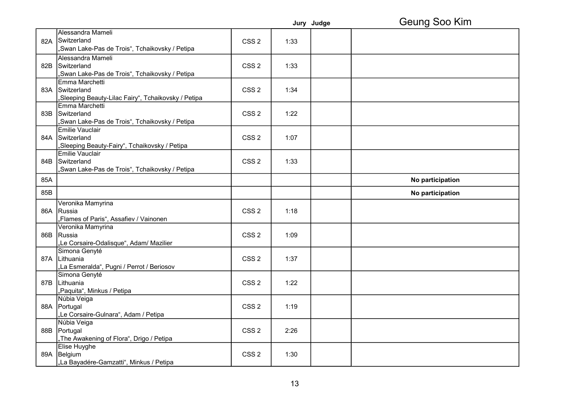|     |                                                     |                  |      | Jury Judge | Geung Soo Kim    |
|-----|-----------------------------------------------------|------------------|------|------------|------------------|
|     | Alessandra Mameli                                   |                  |      |            |                  |
|     | 82A Switzerland                                     | CSS <sub>2</sub> | 1:33 |            |                  |
|     | "Swan Lake-Pas de Trois", Tchaikovsky / Petipa      |                  |      |            |                  |
|     | Alessandra Mameli                                   |                  |      |            |                  |
| 82B | Switzerland                                         | CSS <sub>2</sub> | 1:33 |            |                  |
|     | "Swan Lake-Pas de Trois", Tchaikovsky / Petipa      |                  |      |            |                  |
|     | Emma Marchetti                                      |                  |      |            |                  |
|     | 83A Switzerland                                     | CSS <sub>2</sub> | 1:34 |            |                  |
|     | "Sleeping Beauty-Lilac Fairy", Tchaikovsky / Petipa |                  |      |            |                  |
|     | Emma Marchetti                                      |                  |      |            |                  |
| 83B | Switzerland                                         | CSS <sub>2</sub> | 1:22 |            |                  |
|     | "Swan Lake-Pas de Trois", Tchaikovsky / Petipa      |                  |      |            |                  |
|     | Emilie Vauclair                                     |                  |      |            |                  |
| 84A | Switzerland                                         | CSS <sub>2</sub> | 1:07 |            |                  |
|     | "Sleeping Beauty-Fairy", Tchaikovsky / Petipa       |                  |      |            |                  |
|     | <b>Emilie Vauclair</b>                              |                  |      |            |                  |
| 84B | Switzerland                                         | CSS <sub>2</sub> | 1:33 |            |                  |
|     | "Swan Lake-Pas de Trois", Tchaikovsky / Petipa      |                  |      |            |                  |
| 85A |                                                     |                  |      |            | No participation |
| 85B |                                                     |                  |      |            | No participation |
|     | Veronika Mamyrina                                   |                  |      |            |                  |
| 86A | Russia                                              | CSS <sub>2</sub> | 1:18 |            |                  |
|     | "Flames of Paris", Assafiev / Vainonen              |                  |      |            |                  |
|     | Veronika Mamyrina                                   |                  |      |            |                  |
| 86B | Russia                                              | CSS <sub>2</sub> | 1:09 |            |                  |
|     | "Le Corsaire-Odalisque", Adam/ Mazilier             |                  |      |            |                  |
|     | Simona Genyté                                       |                  |      |            |                  |
|     | 87A Lithuania                                       | CSS <sub>2</sub> | 1:37 |            |                  |
|     | "La Esmeralda", Pugni / Perrot / Beriosov           |                  |      |            |                  |
|     | Simona Genyté                                       |                  |      |            |                  |
| 87B | Lithuania                                           | CSS <sub>2</sub> | 1:22 |            |                  |
|     | "Paquita", Minkus / Petipa                          |                  |      |            |                  |
|     | Núbia Veiga                                         |                  |      |            |                  |
|     | 88A Portugal                                        | CSS <sub>2</sub> | 1:19 |            |                  |
|     | "Le Corsaire-Gulnara", Adam / Petipa                |                  |      |            |                  |
|     | Núbia Veiga                                         |                  |      |            |                  |
| 88B | Portugal                                            | CSS <sub>2</sub> | 2:26 |            |                  |
|     | "The Awakening of Flora", Drigo / Petipa            |                  |      |            |                  |
|     | Elise Huyghe                                        |                  |      |            |                  |
|     | 89A Belgium                                         | CSS <sub>2</sub> | 1:30 |            |                  |
|     | "La Bayadére-Gamzatti", Minkus / Petipa             |                  |      |            |                  |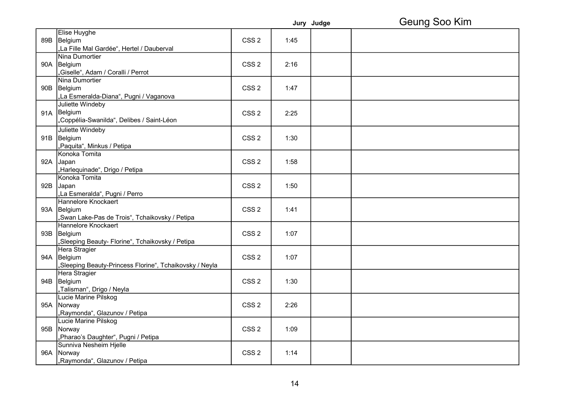|     |                                                         |                  |      | Jury Judge | Geung Soo Kim |
|-----|---------------------------------------------------------|------------------|------|------------|---------------|
|     | Elise Huyghe                                            |                  |      |            |               |
|     | 89B Belgium                                             | CSS <sub>2</sub> | 1:45 |            |               |
|     | "La Fille Mal Gardée", Hertel / Dauberval               |                  |      |            |               |
|     | Nina Dumortier                                          |                  |      |            |               |
|     | 90A Belgium                                             | CSS <sub>2</sub> | 2:16 |            |               |
|     | "Giselle", Adam / Coralli / Perrot                      |                  |      |            |               |
|     | Nina Dumortier                                          |                  |      |            |               |
|     | 90B Belgium                                             | CSS <sub>2</sub> | 1:47 |            |               |
|     | "La Esmeralda-Diana", Pugni / Vaganova                  |                  |      |            |               |
|     | Juliette Windeby                                        |                  |      |            |               |
| 91A | Belgium                                                 | CSS <sub>2</sub> | 2:25 |            |               |
|     | "Coppélia-Swanilda", Delibes / Saint-Léon               |                  |      |            |               |
|     | Juliette Windeby                                        |                  |      |            |               |
|     | 91B Belgium                                             | CSS <sub>2</sub> | 1:30 |            |               |
|     | "Paquita", Minkus / Petipa                              |                  |      |            |               |
|     | Konoka Tomita                                           |                  |      |            |               |
|     | 92A Japan                                               | CSS <sub>2</sub> | 1:58 |            |               |
|     | "Harlequinade", Drigo / Petipa                          |                  |      |            |               |
|     | Konoka Tomita                                           |                  |      |            |               |
|     | 92B Japan                                               | CSS <sub>2</sub> | 1:50 |            |               |
|     | "La Esmeralda", Pugni / Perro                           |                  |      |            |               |
|     | Hannelore Knockaert                                     |                  |      |            |               |
|     | 93A Belgium                                             | CSS <sub>2</sub> | 1:41 |            |               |
|     | "Swan Lake-Pas de Trois", Tchaikovsky / Petipa          |                  |      |            |               |
|     | Hannelore Knockaert                                     |                  |      |            |               |
|     | 93B Belgium                                             | CSS <sub>2</sub> | 1:07 |            |               |
|     | "Sleeping Beauty- Florine", Tchaikovsky / Petipa        |                  |      |            |               |
|     | Hera Stragier                                           |                  |      |            |               |
|     | 94A Belgium                                             | CSS <sub>2</sub> | 1:07 |            |               |
|     | "Sleeping Beauty-Princess Florine", Tchaikovsky / Neyla |                  |      |            |               |
|     | Hera Stragier                                           |                  |      |            |               |
|     | 94B Belgium                                             | CSS <sub>2</sub> | 1:30 |            |               |
|     | "Talisman", Drigo / Neyla                               |                  |      |            |               |
|     | Lucie Marine Pilskog                                    |                  |      |            |               |
|     | 95A Norway                                              | CSS <sub>2</sub> | 2:26 |            |               |
|     | "Raymonda", Glazunov / Petipa                           |                  |      |            |               |
|     | Lucie Marine Pilskog                                    |                  |      |            |               |
|     | 95B Norway                                              | CSS <sub>2</sub> | 1:09 |            |               |
|     | "Pharao's Daughter", Pugni / Petipa                     |                  |      |            |               |
|     | Sunniva Nesheim Hjelle                                  |                  |      |            |               |
|     | 96A Norway                                              | CSS <sub>2</sub> | 1:14 |            |               |
|     | "Raymonda", Glazunov / Petipa                           |                  |      |            |               |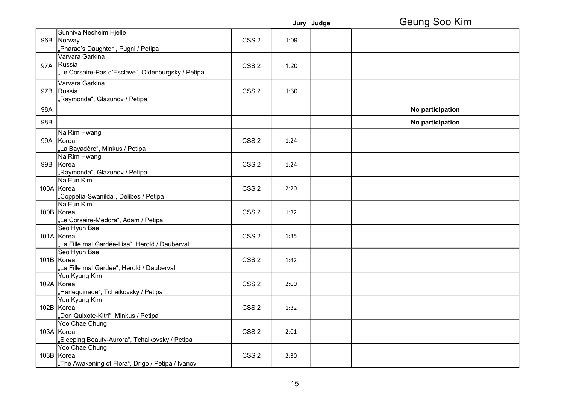|     |                                                     |                  |      | Jury Judge | Geung Soo Kim    |
|-----|-----------------------------------------------------|------------------|------|------------|------------------|
|     | Sunniva Nesheim Hjelle                              |                  |      |            |                  |
| 96B | Norway                                              | CSS <sub>2</sub> | 1:09 |            |                  |
|     | "Pharao's Daughter", Pugni / Petipa                 |                  |      |            |                  |
|     | Varvara Garkina                                     |                  |      |            |                  |
|     | 97A Russia                                          | CSS <sub>2</sub> | 1:20 |            |                  |
|     | "Le Corsaire-Pas d'Esclave", Oldenburgsky / Petipa  |                  |      |            |                  |
|     | Varvara Garkina                                     |                  |      |            |                  |
| 97B | Russia                                              | CSS <sub>2</sub> | 1:30 |            |                  |
|     | "Raymonda", Glazunov / Petipa                       |                  |      |            |                  |
| 98A |                                                     |                  |      |            | No participation |
|     |                                                     |                  |      |            |                  |
| 98B |                                                     |                  |      |            | No participation |
|     | Na Rim Hwang                                        |                  |      |            |                  |
|     | 99A Korea                                           | CSS <sub>2</sub> | 1:24 |            |                  |
|     | "La Bayadère", Minkus / Petipa                      |                  |      |            |                  |
|     | Na Rim Hwang                                        |                  |      |            |                  |
|     | 99B Korea                                           | CSS <sub>2</sub> | 1:24 |            |                  |
|     | "Raymonda", Glazunov / Petipa                       |                  |      |            |                  |
|     | Na Eun Kim                                          |                  |      |            |                  |
|     | 100A Korea                                          | CSS <sub>2</sub> | 2:20 |            |                  |
|     | "Coppélia-Swanilda", Delibes / Petipa<br>Na Eun Kim |                  |      |            |                  |
|     | 100B Korea                                          | CSS <sub>2</sub> | 1:32 |            |                  |
|     | "Le Corsaire-Medora", Adam / Petipa                 |                  |      |            |                  |
|     | Seo Hyun Bae                                        |                  |      |            |                  |
|     | 101A Korea                                          | CSS <sub>2</sub> | 1:35 |            |                  |
|     | "La Fille mal Gardée-Lisa", Herold / Dauberval      |                  |      |            |                  |
|     | Seo Hyun Bae                                        |                  |      |            |                  |
|     | 101B Korea                                          | CSS <sub>2</sub> | 1:42 |            |                  |
|     | "La Fille mal Gardée", Herold / Dauberval           |                  |      |            |                  |
|     | Yun Kyung Kim                                       |                  |      |            |                  |
|     | 102A Korea                                          | CSS <sub>2</sub> | 2:00 |            |                  |
|     | "Harlequinade", Tchaikovsky / Petipa                |                  |      |            |                  |
|     | Yun Kyung Kim                                       |                  |      |            |                  |
|     | 102B Korea                                          | CSS <sub>2</sub> | 1:32 |            |                  |
|     | "Don Quixote-Kitri", Minkus / Petipa                |                  |      |            |                  |
|     | Yoo Chae Chung                                      |                  |      |            |                  |
|     | 103A Korea                                          | CSS <sub>2</sub> | 2:01 |            |                  |
|     | "Sleeping Beauty-Aurora", Tchaikovsky / Petipa      |                  |      |            |                  |
|     | Yoo Chae Chung                                      |                  |      |            |                  |
|     | 103B Korea                                          | CSS <sub>2</sub> | 2:30 |            |                  |
|     | "The Awakening of Flora", Drigo / Petipa / Ivanov   |                  |      |            |                  |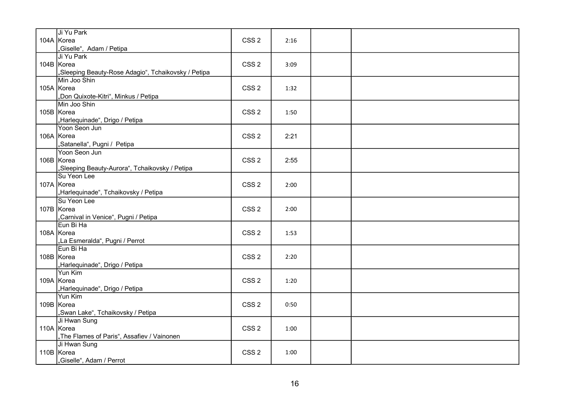| Ji Yu Park<br>104A Korea<br>"Giselle", Adam / Petipa                            | CSS <sub>2</sub> | 2:16 |  |
|---------------------------------------------------------------------------------|------------------|------|--|
| Ji Yu Park<br>104B Korea<br>"Sleeping Beauty-Rose Adagio", Tchaikovsky / Petipa | CSS <sub>2</sub> | 3:09 |  |
| Min Joo Shin<br>105A Korea<br>"Don Quixote-Kitri", Minkus / Petipa              | CSS <sub>2</sub> | 1:32 |  |
| Min Joo Shin<br>105B Korea<br>"Harlequinade", Drigo / Petipa                    | CSS <sub>2</sub> | 1:50 |  |
| Yoon Seon Jun<br>106A Korea<br>"Satanella", Pugni / Petipa                      | CSS <sub>2</sub> | 2:21 |  |
| Yoon Seon Jun<br>106B Korea<br>"Sleeping Beauty-Aurora", Tchaikovsky / Petipa   | CSS <sub>2</sub> | 2:55 |  |
| Su Yeon Lee<br>107A Korea<br>"Harlequinade", Tchaikovsky / Petipa               | CSS <sub>2</sub> | 2:00 |  |
| Su Yeon Lee<br>107B Korea<br>"Carnival in Venice", Pugni / Petipa               | CSS <sub>2</sub> | 2:00 |  |
| Eun Bi Ha<br>108A Korea<br>"La Esmeralda", Pugni / Perrot                       | CSS <sub>2</sub> | 1:53 |  |
| Eun Bi Ha<br>108B Korea<br>"Harlequinade", Drigo / Petipa                       | CSS <sub>2</sub> | 2:20 |  |
| Yun Kim<br>109A Korea<br>"Harlequinade", Drigo / Petipa                         | CSS <sub>2</sub> | 1:20 |  |
| Yun Kim<br>109B Korea<br>"Swan Lake", Tchaikovsky / Petipa                      | CSS <sub>2</sub> | 0:50 |  |
| Ji Hwan Sung<br>110A Korea<br>"The Flames of Paris", Assafiev / Vainonen        | CSS <sub>2</sub> | 1:00 |  |
| Ji Hwan Sung<br>110B Korea<br>,Giselle", Adam / Perrot                          | CSS <sub>2</sub> | 1:00 |  |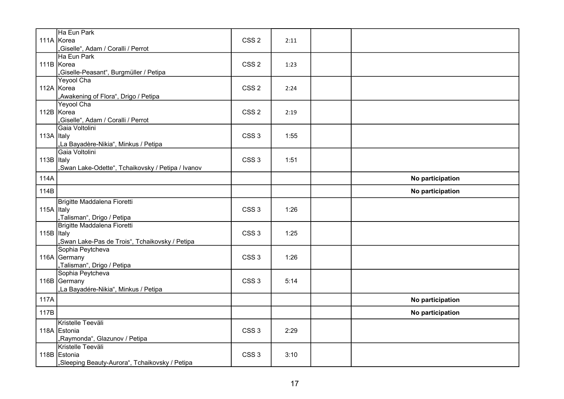| Ha Eun Park                                                                              |  |
|------------------------------------------------------------------------------------------|--|
|                                                                                          |  |
| 111A Korea<br>CSS <sub>2</sub><br>2:11                                                   |  |
| "Giselle", Adam / Coralli / Perrot<br>Ha Eun Park                                        |  |
| 111B Korea<br>CSS <sub>2</sub><br>1:23                                                   |  |
| "Giselle-Peasant", Burgmüller / Petipa                                                   |  |
| Yeyool Cha                                                                               |  |
| 112A Korea<br>CSS <sub>2</sub><br>2:24                                                   |  |
| "Awakening of Flora", Drigo / Petipa                                                     |  |
| <b>Yeyool Cha</b>                                                                        |  |
| CSS <sub>2</sub><br>112B Korea<br>2:19                                                   |  |
| "Giselle", Adam / Coralli / Perrot<br>Gaia Voltolini                                     |  |
| 113A Italy<br>CSS <sub>3</sub><br>1:55                                                   |  |
| "La Bayadère-Nikia", Minkus / Petipa                                                     |  |
| Gaia Voltolini                                                                           |  |
| 113B Italy<br>CSS <sub>3</sub><br>1:51                                                   |  |
| "Swan Lake-Odette", Tchaikovsky / Petipa / Ivanov                                        |  |
| 114A<br>No participation                                                                 |  |
| 114B<br>No participation                                                                 |  |
| Brigitte Maddalena Fioretti                                                              |  |
| 115A Italy<br>CSS <sub>3</sub><br>1:26                                                   |  |
| "Talisman", Drigo / Petipa                                                               |  |
| Brigitte Maddalena Fioretti                                                              |  |
| 115B Italy<br>CSS <sub>3</sub><br>1:25<br>"Swan Lake-Pas de Trois", Tchaikovsky / Petipa |  |
| Sophia Peytcheva                                                                         |  |
| 116A Germany<br>CSS <sub>3</sub><br>1:26                                                 |  |
| "Talisman", Drigo / Petipa                                                               |  |
| Sophia Peytcheva                                                                         |  |
| 116B Germany<br>CSS <sub>3</sub><br>5:14                                                 |  |
| "La Bayadére-Nikia", Minkus / Petipa                                                     |  |
| 117A<br>No participation                                                                 |  |
| 117B<br>No participation                                                                 |  |
| Kristelle Teeväli                                                                        |  |
| 118A Estonia<br>CSS <sub>3</sub><br>2:29                                                 |  |
| "Raymonda", Glazunov / Petipa                                                            |  |
| Kristelle Teeväli<br>118B Estonia<br>CSS <sub>3</sub><br>3:10                            |  |
| "Sleeping Beauty-Aurora", Tchaikovsky / Petipa                                           |  |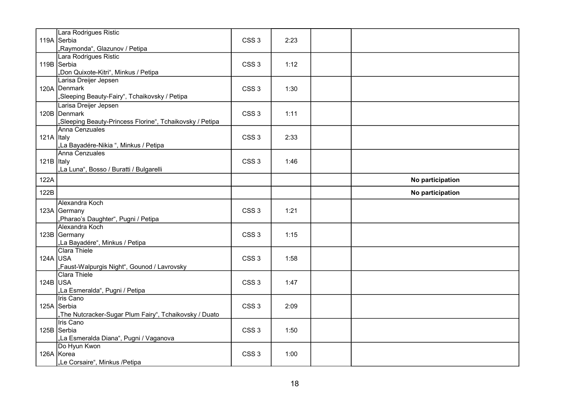|            | Lara Rodrigues Ristic                                    |                  |      |                  |
|------------|----------------------------------------------------------|------------------|------|------------------|
|            | 119A Serbia                                              | CSS <sub>3</sub> | 2:23 |                  |
|            | "Raymonda", Glazunov / Petipa                            |                  |      |                  |
|            | Lara Rodrigues Ristic                                    |                  |      |                  |
|            | 119B Serbia                                              | CSS <sub>3</sub> | 1:12 |                  |
|            | "Don Quixote-Kitri", Minkus / Petipa                     |                  |      |                  |
|            | Larisa Dreijer Jepsen                                    |                  |      |                  |
|            | 120A Denmark                                             | CSS <sub>3</sub> | 1:30 |                  |
|            | "Sleeping Beauty-Fairy", Tchaikovsky / Petipa            |                  |      |                  |
|            | Larisa Dreijer Jepsen                                    |                  |      |                  |
|            | 120B Denmark                                             | CSS <sub>3</sub> | 1:11 |                  |
|            | "Sleeping Beauty-Princess Florine", Tchaikovsky / Petipa |                  |      |                  |
|            | Anna Cenzuales                                           |                  |      |                  |
| 121A Italy |                                                          | CSS <sub>3</sub> | 2:33 |                  |
|            | "La Bayadére-Nikia", Minkus / Petipa                     |                  |      |                  |
|            | Anna Cenzuales                                           |                  |      |                  |
| 121B Italy |                                                          | CSS <sub>3</sub> | 1:46 |                  |
|            | "La Luna", Bosso / Buratti / Bulgarelli                  |                  |      |                  |
| 122A       |                                                          |                  |      | No participation |
| 122B       |                                                          |                  |      | No participation |
|            | Alexandra Koch                                           |                  |      |                  |
|            | 123A Germany                                             | CSS <sub>3</sub> | 1:21 |                  |
|            | "Pharao's Daughter", Pugni / Petipa                      |                  |      |                  |
|            | Alexandra Koch                                           |                  |      |                  |
|            | 123B Germany                                             | CSS <sub>3</sub> | 1:15 |                  |
|            | "La Bayadére", Minkus / Petipa                           |                  |      |                  |
|            | Clara Thiele                                             |                  |      |                  |
| 124A USA   |                                                          | CSS <sub>3</sub> | 1:58 |                  |
|            |                                                          |                  |      |                  |
|            | "Faust-Walpurgis Night", Gounod / Lavrovsky              |                  |      |                  |
|            | Clara Thiele                                             |                  |      |                  |
| $124B$ USA |                                                          | CSS <sub>3</sub> | 1:47 |                  |
|            | "La Esmeralda", Pugni / Petipa                           |                  |      |                  |
|            | Iris Cano                                                |                  |      |                  |
|            | 125A Serbia                                              | CSS <sub>3</sub> | 2:09 |                  |
|            | "The Nutcracker-Sugar Plum Fairy", Tchaikovsky / Duato   |                  |      |                  |
|            | Iris Cano                                                |                  |      |                  |
|            | 125B Serbia                                              | CSS <sub>3</sub> | 1:50 |                  |
|            | "La Esmeralda Diana", Pugni / Vaganova                   |                  |      |                  |
|            | Do Hyun Kwon                                             |                  |      |                  |
|            | 126A Korea<br>"Le Corsaire", Minkus /Petipa              | CSS <sub>3</sub> | 1:00 |                  |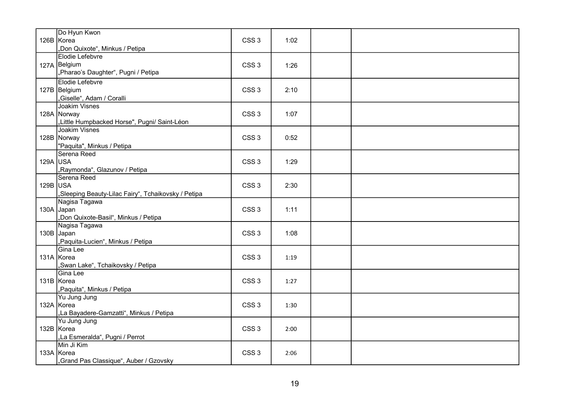|            | Do Hyun Kwon<br>126B Korea<br>"Don Quixote", Minkus / Petipa                        | CSS <sub>3</sub> | 1:02 |  |
|------------|-------------------------------------------------------------------------------------|------------------|------|--|
|            | Elodie Lefebvre<br>127A Belgium<br>"Pharao's Daughter", Pugni / Petipa              | CSS <sub>3</sub> | 1:26 |  |
|            | Elodie Lefebvre<br>127B Belgium<br>"Giselle", Adam / Coralli                        | CSS <sub>3</sub> | 2:10 |  |
|            | <b>Joakim Visnes</b><br>128A Norway<br>"Little Humpbacked Horse", Pugni/ Saint-Léon | CSS <sub>3</sub> | 1:07 |  |
|            | Joakim Visnes<br>128B Norway<br>"Paquita", Minkus / Petipa                          | CSS <sub>3</sub> | 0:52 |  |
| $129A$ USA | Serena Reed<br>"Raymonda", Glazunov / Petipa                                        | CSS <sub>3</sub> | 1:29 |  |
| $129B$ USA | Serena Reed<br>"Sleeping Beauty-Lilac Fairy", Tchaikovsky / Petipa                  | CSS <sub>3</sub> | 2:30 |  |
|            | Nagisa Tagawa<br>130A Japan<br>"Don Quixote-Basil", Minkus / Petipa                 | CSS <sub>3</sub> | 1:11 |  |
|            | Nagisa Tagawa<br>130B Japan<br>"Paquita-Lucien", Minkus / Petipa                    | CSS <sub>3</sub> | 1:08 |  |
|            | Gina Lee<br>131A Korea<br>"Swan Lake", Tchaikovsky / Petipa                         | CSS <sub>3</sub> | 1:19 |  |
|            | Gina Lee<br>131B Korea<br>"Paquita", Minkus / Petipa                                | CSS <sub>3</sub> | 1:27 |  |
|            | Yu Jung Jung<br>132A Korea<br>"La Bayadere-Gamzatti", Minkus / Petipa               | CSS <sub>3</sub> | 1:30 |  |
|            | Yu Jung Jung<br>132B Korea<br>"La Esmeralda", Pugni / Perrot                        | CSS <sub>3</sub> | 2:00 |  |
|            | Min Ji Kim<br>133A Korea<br>"Grand Pas Classique", Auber / Gzovsky                  | CSS <sub>3</sub> | 2:06 |  |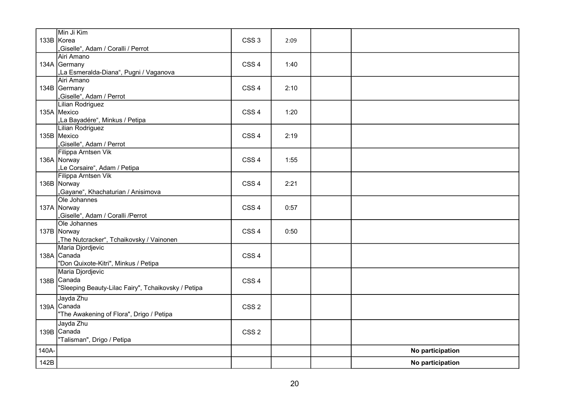|       | Min Ji Kim<br>133B Korea<br>"Giselle", Adam / Coralli / Perrot                         | CSS <sub>3</sub> | 2:09 |                  |
|-------|----------------------------------------------------------------------------------------|------------------|------|------------------|
|       | Airi Amano<br>134A Germany<br>"La Esmeralda-Diana", Pugni / Vaganova                   | CSS <sub>4</sub> | 1:40 |                  |
|       | Airi Amano<br>134B Germany<br>"Giselle", Adam / Perrot                                 | CSS <sub>4</sub> | 2:10 |                  |
|       | <b>Lilian Rodriguez</b><br>135A Mexico<br>"La Bayadére", Minkus / Petipa               | CSS <sub>4</sub> | 1:20 |                  |
|       | Lilian Rodriguez<br>135B Mexico<br>"Giselle", Adam / Perrot                            | CSS <sub>4</sub> | 2:19 |                  |
|       | Filippa Arntsen Vik<br>136A Norway<br>"Le Corsaire", Adam / Petipa                     | CSS <sub>4</sub> | 1:55 |                  |
|       | Filippa Arntsen Vik<br>136B Norway<br>"Gayane", Khachaturian / Anisimova               | CSS <sub>4</sub> | 2:21 |                  |
|       | Ole Johannes<br>137A Norway<br>"Giselle", Adam / Coralli /Perrot                       | CSS <sub>4</sub> | 0:57 |                  |
|       | Ole Johannes<br>137B Norway<br>"The Nutcracker", Tchaikovsky / Vainonen                | CSS <sub>4</sub> | 0:50 |                  |
|       | Maria Djordjevic<br>138A Canada<br>"Don Quixote-Kitri", Minkus / Petipa                | CSS <sub>4</sub> |      |                  |
|       | Maria Djordjevic<br>138B Canada<br>"Sleeping Beauty-Lilac Fairy", Tchaikovsky / Petipa | CSS <sub>4</sub> |      |                  |
|       | Jayda Zhu<br>139A Canada<br>"The Awakening of Flora", Drigo / Petipa                   | CSS <sub>2</sub> |      |                  |
|       | Jayda Zhu<br>139B Canada<br>"Talisman", Drigo / Petipa                                 | CSS <sub>2</sub> |      |                  |
| 140A- |                                                                                        |                  |      | No participation |
| 142B  |                                                                                        |                  |      | No participation |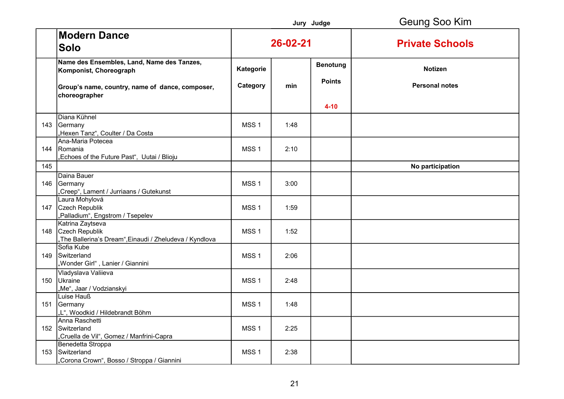|     |                                                                                                                                          |                       |          | Jury Judge                       | Geung Soo Kim                           |
|-----|------------------------------------------------------------------------------------------------------------------------------------------|-----------------------|----------|----------------------------------|-----------------------------------------|
|     | <b>Modern Dance</b><br><b>Solo</b>                                                                                                       |                       | 26-02-21 |                                  | <b>Private Schools</b>                  |
|     | Name des Ensembles, Land, Name des Tanzes,<br>Komponist, Choreograph<br>Group's name, country, name of dance, composer,<br>choreographer | Kategorie<br>Category | min      | <b>Benotung</b><br><b>Points</b> | <b>Notizen</b><br><b>Personal notes</b> |
|     |                                                                                                                                          |                       |          | $4 - 10$                         |                                         |
| 143 | Diana Kühnel<br>Germany<br>"Hexen Tanz", Coulter / Da Costa                                                                              | MSS <sub>1</sub>      | 1:48     |                                  |                                         |
|     | Ana-Maria Potecea<br>144 Romania<br>"Echoes of the Future Past", Uutai / Blioju                                                          | MSS <sub>1</sub>      | 2:10     |                                  |                                         |
| 145 |                                                                                                                                          |                       |          |                                  | No participation                        |
| 146 | Daina Bauer<br>Germany<br>"Creep", Lament / Jurriaans / Gutekunst                                                                        | MSS <sub>1</sub>      | 3:00     |                                  |                                         |
| 147 | Laura Mohylová<br>Czech Republik<br>"Palladium", Engstrom / Tsepelev                                                                     | MSS <sub>1</sub>      | 1:59     |                                  |                                         |
| 148 | Katrina Zaytseva<br>Czech Republik<br>"The Ballerina's Dream", Einaudi / Zheludeva / Kyndlova                                            | MSS <sub>1</sub>      | 1:52     |                                  |                                         |
| 149 | Sofia Kube<br>Switzerland<br>"Wonder Girl", Lanier / Giannini                                                                            | MSS <sub>1</sub>      | 2:06     |                                  |                                         |
| 150 | Vladyslava Valiieva<br>Ukraine<br>"Me", Jaar / Vodzianskyi                                                                               | MSS <sub>1</sub>      | 2:48     |                                  |                                         |
| 151 | Luise Hauß<br>Germany<br>"L", Woodkid / Hildebrandt Böhm                                                                                 | MSS <sub>1</sub>      | 1:48     |                                  |                                         |
|     | Anna Raschetti<br>152 Switzerland<br>"Cruella de Vil", Gomez / Manfrini-Capra                                                            | MSS <sub>1</sub>      | 2:25     |                                  |                                         |
| 153 | Benedetta Stroppa<br>Switzerland<br>"Corona Crown", Bosso / Stroppa / Giannini                                                           | MSS <sub>1</sub>      | 2:38     |                                  |                                         |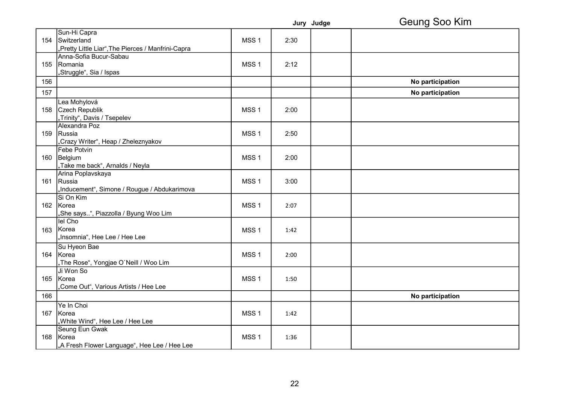|     |                                                   |                  |      | Jury Judge | Geung Soo Kim    |
|-----|---------------------------------------------------|------------------|------|------------|------------------|
|     | Sun-Hi Capra                                      |                  |      |            |                  |
|     | 154 Switzerland                                   | MSS <sub>1</sub> | 2:30 |            |                  |
|     | "Pretty Little Liar",The Pierces / Manfrini-Capra |                  |      |            |                  |
|     | Anna-Sofia Bucur-Sabau                            |                  |      |            |                  |
| 155 | Romania                                           | MSS <sub>1</sub> | 2:12 |            |                  |
|     | "Struggle", Sia / Ispas                           |                  |      |            |                  |
| 156 |                                                   |                  |      |            | No participation |
| 157 |                                                   |                  |      |            | No participation |
|     | Lea Mohylová                                      |                  |      |            |                  |
| 158 | Czech Republik                                    | MSS <sub>1</sub> | 2:00 |            |                  |
|     | "Trinity", Davis / Tsepelev                       |                  |      |            |                  |
|     | Alexandra Poz                                     |                  |      |            |                  |
| 159 | Russia                                            | MSS <sub>1</sub> | 2:50 |            |                  |
|     | "Crazy Writer", Heap / Zheleznyakov               |                  |      |            |                  |
|     | <b>Febe Potvin</b>                                |                  |      |            |                  |
| 160 | Belgium                                           | MSS <sub>1</sub> | 2:00 |            |                  |
|     | "Take me back", Arnalds / Neyla                   |                  |      |            |                  |
|     | Arina Poplavskaya                                 |                  |      |            |                  |
| 161 | Russia                                            | MSS <sub>1</sub> | 3:00 |            |                  |
|     | "Inducement", Simone / Rougue / Abdukarimova      |                  |      |            |                  |
|     | Si On Kim                                         |                  |      |            |                  |
|     | 162 Korea                                         | MSS <sub>1</sub> | 2:07 |            |                  |
|     | "She says", Piazzolla / Byung Woo Lim             |                  |      |            |                  |
|     | lel Cho                                           |                  |      |            |                  |
| 163 | Korea                                             | MSS <sub>1</sub> | 1:42 |            |                  |
|     | "Insomnia", Hee Lee / Hee Lee                     |                  |      |            |                  |
|     | Su Hyeon Bae                                      |                  |      |            |                  |
|     | 164 Korea                                         | MSS <sub>1</sub> | 2:00 |            |                  |
|     | "The Rose", Yongjae O'Neill / Woo Lim             |                  |      |            |                  |
|     | Ji Won So                                         |                  |      |            |                  |
| 165 | Korea                                             | MSS <sub>1</sub> | 1:50 |            |                  |
|     | "Come Out", Various Artists / Hee Lee             |                  |      |            |                  |
| 166 |                                                   |                  |      |            | No participation |
|     |                                                   |                  |      |            |                  |
|     | Ye In Choi                                        |                  |      |            |                  |
| 167 | Korea                                             | MSS <sub>1</sub> | 1:42 |            |                  |
|     | "White Wind", Hee Lee / Hee Lee                   |                  |      |            |                  |
|     | Seung Eun Gwak                                    |                  |      |            |                  |
| 168 | Korea                                             | MSS <sub>1</sub> | 1:36 |            |                  |
|     | "A Fresh Flower Language", Hee Lee / Hee Lee      |                  |      |            |                  |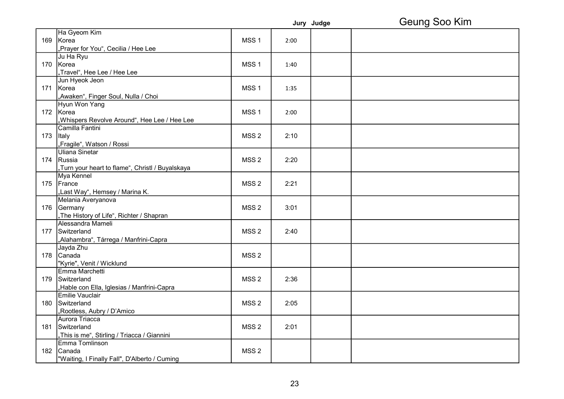|     |                                                  |                  |      | Jury Judge | Geung Soo Kim |
|-----|--------------------------------------------------|------------------|------|------------|---------------|
|     | Ha Gyeom Kim                                     |                  |      |            |               |
| 169 | Korea                                            | MSS <sub>1</sub> | 2:00 |            |               |
|     | "Prayer for You", Cecilia / Hee Lee              |                  |      |            |               |
|     | Ju Ha Ryu                                        |                  |      |            |               |
|     | 170 Korea                                        | MSS <sub>1</sub> | 1:40 |            |               |
|     | "Travel", Hee Lee / Hee Lee                      |                  |      |            |               |
|     | Jun Hyeok Jeon                                   |                  |      |            |               |
|     | 171 Korea                                        | MSS <sub>1</sub> | 1:35 |            |               |
|     | "Awaken", Finger Soul, Nulla / Choi              |                  |      |            |               |
|     | Hyun Won Yang                                    |                  |      |            |               |
|     | 172 Korea                                        | MSS <sub>1</sub> | 2:00 |            |               |
|     | Whispers Revolve Around", Hee Lee / Hee Lee      |                  |      |            |               |
|     | Camilla Fantini                                  |                  |      |            |               |
| 173 | Italy                                            | MSS <sub>2</sub> | 2:10 |            |               |
|     | "Fragile", Watson / Rossi                        |                  |      |            |               |
|     | Uliana Sinetar                                   |                  |      |            |               |
|     | 174 Russia                                       | MSS <sub>2</sub> | 2:20 |            |               |
|     | "Turn your heart to flame", Christl / Buyalskaya |                  |      |            |               |
|     | Mya Kennel                                       |                  |      |            |               |
|     | 175 France                                       | MSS <sub>2</sub> | 2:21 |            |               |
|     | "Last Way", Hemsey / Marina K.                   |                  |      |            |               |
|     | Melania Averyanova                               |                  |      |            |               |
|     | 176 Germany                                      | MSS <sub>2</sub> | 3:01 |            |               |
|     | "The History of Life", Richter / Shapran         |                  |      |            |               |
|     | Alessandra Mameli                                |                  |      |            |               |
|     | 177 Switzerland                                  | MSS <sub>2</sub> | 2:40 |            |               |
|     | "Alahambra", Tárrega / Manfrini-Capra            |                  |      |            |               |
|     | Jayda Zhu                                        |                  |      |            |               |
|     | 178 Canada                                       | MSS <sub>2</sub> |      |            |               |
|     | "Kyrie", Venit / Wicklund                        |                  |      |            |               |
|     | Emma Marchetti                                   |                  |      |            |               |
| 179 | Switzerland                                      | MSS <sub>2</sub> | 2:36 |            |               |
|     | "Hable con Ella, Iglesias / Manfrini-Capra       |                  |      |            |               |
|     | Emilie Vauclair                                  |                  |      |            |               |
|     | 180 Switzerland                                  | MSS <sub>2</sub> | 2:05 |            |               |
|     | "Rootless, Aubry / D'Amico                       |                  |      |            |               |
|     | Aurora Triacca                                   |                  |      |            |               |
|     | 181 Switzerland                                  | MSS <sub>2</sub> | 2:01 |            |               |
|     | "This is me", Stirling / Triacca / Giannini      |                  |      |            |               |
|     | Emma Tomlinson                                   |                  |      |            |               |
|     | 182 Canada                                       | MSS <sub>2</sub> |      |            |               |
|     | "Waiting, I Finally Fall", D'Alberto / Cuming    |                  |      |            |               |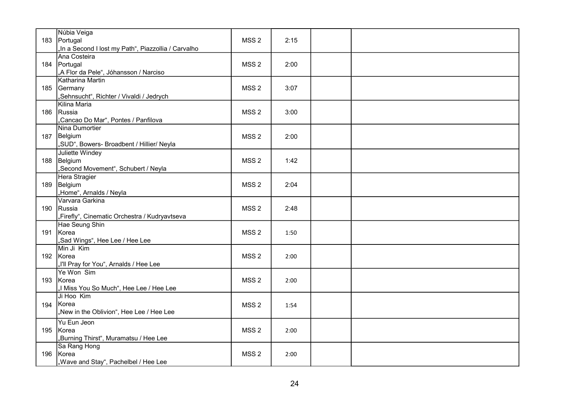|     | Núbia Veiga                                           |                  |      |  |
|-----|-------------------------------------------------------|------------------|------|--|
|     | 183 Portugal                                          | MSS <sub>2</sub> | 2:15 |  |
|     | "In a Second I lost my Path", Piazzollia / Carvalho   |                  |      |  |
|     | Ana Costeira                                          |                  |      |  |
|     | 184   Portugal                                        | MSS <sub>2</sub> | 2:00 |  |
|     | "A Flor da Pele", Jóhansson / Narciso                 |                  |      |  |
|     | Katharina Martin                                      |                  |      |  |
|     | 185 Germany                                           | MSS <sub>2</sub> | 3:07 |  |
|     | "Sehnsucht", Richter / Vivaldi / Jedrych              |                  |      |  |
|     | Kilina Maria                                          |                  |      |  |
|     | 186 Russia                                            | MSS <sub>2</sub> | 3:00 |  |
|     | "Cancao Do Mar", Pontes / Panfilova<br>Nina Dumortier |                  |      |  |
|     |                                                       |                  |      |  |
|     | 187 Belgium                                           | MSS <sub>2</sub> | 2:00 |  |
|     | "SUD", Bowers- Broadbent / Hillier/ Neyla             |                  |      |  |
|     | Juliette Windey                                       |                  |      |  |
|     | 188 Belgium                                           | MSS <sub>2</sub> | 1:42 |  |
|     | "Second Movement", Schubert / Neyla                   |                  |      |  |
|     | Hera Stragier<br>189 Belgium                          | MSS <sub>2</sub> | 2:04 |  |
|     | "Home", Arnalds / Neyla                               |                  |      |  |
|     | Varvara Garkina                                       |                  |      |  |
|     | 190 Russia                                            | MSS <sub>2</sub> | 2:48 |  |
|     | "Firefly", Cinematic Orchestra / Kudryavtseva         |                  |      |  |
|     | Hae Seung Shin                                        |                  |      |  |
|     | 191 Korea                                             | MSS <sub>2</sub> | 1:50 |  |
|     | "Sad Wings", Hee Lee / Hee Lee                        |                  |      |  |
|     | Min Ji Kim                                            |                  |      |  |
|     | 192 Korea                                             | MSS <sub>2</sub> | 2:00 |  |
|     | "I'll Pray for You", Arnalds / Hee Lee                |                  |      |  |
|     | Ye Won Sim                                            |                  |      |  |
|     | 193 Korea                                             | MSS <sub>2</sub> | 2:00 |  |
|     | "I Miss You So Much", Hee Lee / Hee Lee               |                  |      |  |
|     | Ji Hoo Kim                                            |                  |      |  |
| 194 | Korea                                                 | MSS <sub>2</sub> | 1:54 |  |
|     | "New in the Oblivion", Hee Lee / Hee Lee              |                  |      |  |
|     | Yu Eun Jeon                                           |                  |      |  |
|     | 195 Korea                                             | MSS <sub>2</sub> | 2:00 |  |
|     | "Burning Thirst", Muramatsu / Hee Lee                 |                  |      |  |
|     | Sa Rang Hong                                          |                  |      |  |
|     | 196 Korea                                             | MSS <sub>2</sub> | 2:00 |  |
|     | "Wave and Stay", Pachelbel / Hee Lee                  |                  |      |  |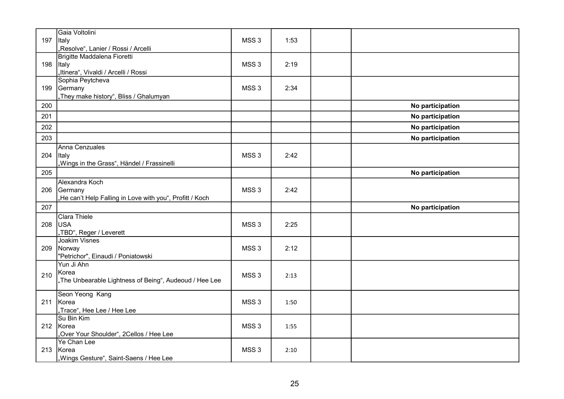| 197 | Gaia Voltolini<br><b>Italy</b><br>"Resolve", Lanier / Rossi / Arcelli                 | MSS <sub>3</sub> | 1:53 |                  |
|-----|---------------------------------------------------------------------------------------|------------------|------|------------------|
| 198 | Brigitte Maddalena Fioretti<br>Italy<br>"Itinera", Vivaldi / Arcelli / Rossi          | MSS <sub>3</sub> | 2:19 |                  |
| 199 | Sophia Peytcheva<br>Germany<br>"They make history", Bliss / Ghalumyan                 | MSS <sub>3</sub> | 2:34 |                  |
| 200 |                                                                                       |                  |      | No participation |
| 201 |                                                                                       |                  |      | No participation |
| 202 |                                                                                       |                  |      | No participation |
| 203 |                                                                                       |                  |      | No participation |
| 204 | Anna Cenzuales<br>Italy<br>"Wings in the Grass", Händel / Frassinelli                 | MSS <sub>3</sub> | 2:42 |                  |
| 205 |                                                                                       |                  |      | No participation |
| 206 | Alexandra Koch<br>Germany<br>"He can't Help Falling in Love with you", Profitt / Koch | MSS <sub>3</sub> | 2:42 |                  |
| 207 |                                                                                       |                  |      | No participation |
| 208 | Clara Thiele<br>USA<br>"TBD", Reger / Leverett                                        | MSS <sub>3</sub> | 2:25 |                  |
| 209 | <b>Joakim Visnes</b><br>Norway<br>"Petrichor", Einaudi / Poniatowski                  | MSS <sub>3</sub> | 2:12 |                  |
| 210 | Yun Ji Ahn<br>Korea<br>"The Unbearable Lightness of Being", Audeoud / Hee Lee         | MSS <sub>3</sub> | 2:13 |                  |
| 211 | Seon Yeong Kang<br>Korea<br>"Trace", Hee Lee / Hee Lee                                | MSS <sub>3</sub> | 1:50 |                  |
|     | Su Bin Kim<br>212 Korea<br>"Over Your Shoulder", 2Cellos / Hee Lee                    | MSS <sub>3</sub> | 1:55 |                  |
| 213 | Ye Chan Lee<br>Korea<br>"Wings Gesture", Saint-Saens / Hee Lee                        | MSS <sub>3</sub> | 2:10 |                  |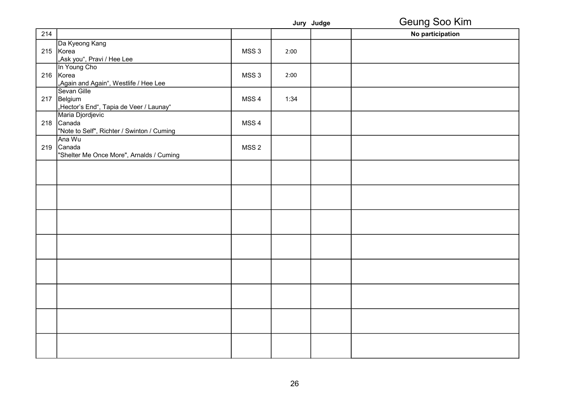|     |                                                                              |                  |      | Jury Judge | Geung Soo Kim    |
|-----|------------------------------------------------------------------------------|------------------|------|------------|------------------|
| 214 |                                                                              |                  |      |            | No participation |
|     | Da Kyeong Kang<br>215 Korea<br>"Ask you", Pravi / Hee Lee                    | MSS <sub>3</sub> | 2:00 |            |                  |
|     | In Young Cho<br>216 Korea<br>"Again and Again", Westlife / Hee Lee           | MSS <sub>3</sub> | 2:00 |            |                  |
|     | Sevan Gille<br>217 Belgium<br>"Hector's End", Tapia de Veer / Launay"        | MSS <sub>4</sub> | 1:34 |            |                  |
|     | Maria Djordjevic<br>218 Canada<br>"Note to Self", Richter / Swinton / Cuming | MSS <sub>4</sub> |      |            |                  |
|     | Ana Wu<br>219 Canada<br>"Shelter Me Once More", Arnalds / Cuming             | MSS <sub>2</sub> |      |            |                  |
|     |                                                                              |                  |      |            |                  |
|     |                                                                              |                  |      |            |                  |
|     |                                                                              |                  |      |            |                  |
|     |                                                                              |                  |      |            |                  |
|     |                                                                              |                  |      |            |                  |
|     |                                                                              |                  |      |            |                  |
|     |                                                                              |                  |      |            |                  |
|     |                                                                              |                  |      |            |                  |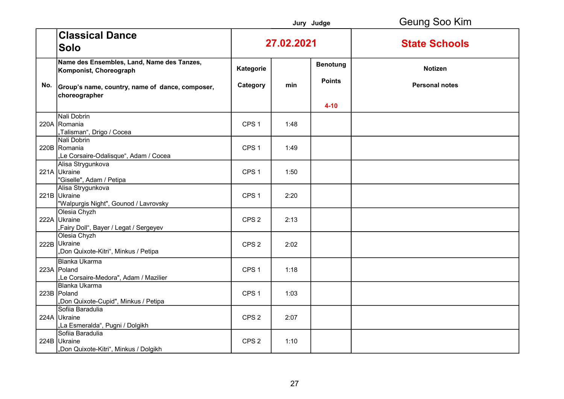|     |                                                                             |                  |      | Jury Judge                       | Geung Soo Kim         |
|-----|-----------------------------------------------------------------------------|------------------|------|----------------------------------|-----------------------|
|     | <b>Classical Dance</b><br><b>Solo</b>                                       | 27.02.2021       |      |                                  | <b>State Schools</b>  |
|     | Name des Ensembles, Land, Name des Tanzes,<br>Komponist, Choreograph        | Kategorie        |      | <b>Benotung</b><br><b>Points</b> | <b>Notizen</b>        |
| No. | Group's name, country, name of dance, composer,<br>choreographer            | Category         | min  |                                  | <b>Personal notes</b> |
|     |                                                                             |                  |      | $4 - 10$                         |                       |
|     | Nali Dobrin<br>220A Romania<br>"Talisman", Drigo / Cocea                    | CPS <sub>1</sub> | 1:48 |                                  |                       |
|     | Nali Dobrin<br>220B Romania<br>"Le Corsaire-Odalisque", Adam / Cocea        | CPS <sub>1</sub> | 1:49 |                                  |                       |
|     | Alisa Strygunkova<br>221A Ukraine<br>"Giselle", Adam / Petipa               | CPS <sub>1</sub> | 1:50 |                                  |                       |
|     | Alisa Strygunkova<br>221B Ukraine<br>"Walpurgis Night", Gounod / Lavrovsky  | CPS <sub>1</sub> | 2:20 |                                  |                       |
|     | Olesia Chyzh<br>222A Ukraine<br>"Fairy Doll", Bayer / Legat / Sergeyev      | CPS <sub>2</sub> | 2:13 |                                  |                       |
|     | Olesia Chyzh<br>222B Ukraine<br>"Don Quixote-Kitri", Minkus / Petipa        | CPS <sub>2</sub> | 2:02 |                                  |                       |
|     | Blanka Ukarma<br>223A Poland<br>"Le Corsaire-Medora", Adam / Mazilier       | CPS <sub>1</sub> | 1:18 |                                  |                       |
|     | <b>Blanka Ukarma</b><br>223B Poland<br>"Don Quixote-Cupid", Minkus / Petipa | CPS <sub>1</sub> | 1:03 |                                  |                       |
|     | Sofiia Baradulia<br>224A Ukraine<br>"La Esmeralda", Pugni / Dolgikh         | CPS <sub>2</sub> | 2:07 |                                  |                       |
|     | Sofiia Baradulia<br>224B Ukraine<br>Don Quixote-Kitri", Minkus / Dolgikh    | CPS <sub>2</sub> | 1:10 |                                  |                       |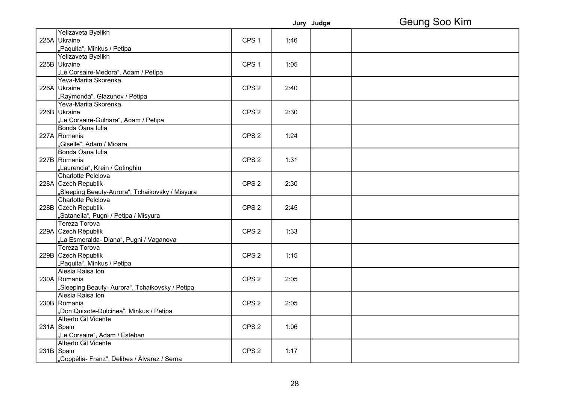|            |                                                 |                  |      | Jury Judge | Geung Soo Kim |
|------------|-------------------------------------------------|------------------|------|------------|---------------|
|            | Yelizaveta Byelikh                              |                  |      |            |               |
|            | 225A Ukraine                                    | CPS <sub>1</sub> | 1:46 |            |               |
|            | "Paquita", Minkus / Petipa                      |                  |      |            |               |
|            | Yelizaveta Byelikh                              |                  |      |            |               |
|            | 225B Ukraine                                    | CPS <sub>1</sub> | 1:05 |            |               |
|            | "Le Corsaire-Medora", Adam / Petipa             |                  |      |            |               |
|            | Yeva-Mariia Skorenka                            |                  |      |            |               |
|            | 226A Ukraine                                    | CPS <sub>2</sub> | 2:40 |            |               |
|            | "Raymonda", Glazunov / Petipa                   |                  |      |            |               |
|            | Yeva-Mariia Skorenka                            |                  |      |            |               |
|            | 226B Ukraine                                    | CPS <sub>2</sub> | 2:30 |            |               |
|            | "Le Corsaire-Gulnara", Adam / Petipa            |                  |      |            |               |
|            | Bonda Oana Iulia                                |                  |      |            |               |
|            | 227A Romania                                    | CPS <sub>2</sub> | 1:24 |            |               |
|            | ,Giselle", Adam / Mioara                        |                  |      |            |               |
|            | Bonda Oana Iulia                                |                  |      |            |               |
|            | 227B Romania                                    | CPS <sub>2</sub> | 1:31 |            |               |
|            | "Laurencia", Krein / Cotinghiu                  |                  |      |            |               |
|            | Charlotte Pelclova                              |                  |      |            |               |
|            | 228A Czech Republik                             | CPS <sub>2</sub> | 2:30 |            |               |
|            | "Sleeping Beauty-Aurora", Tchaikovsky / Misyura |                  |      |            |               |
|            | Charlotte Pelclova                              |                  |      |            |               |
|            | 228B Czech Republik                             | CPS <sub>2</sub> | 2:45 |            |               |
|            | "Satanella", Pugni / Petipa / Misyura           |                  |      |            |               |
|            | <b>Tereza Torova</b>                            |                  |      |            |               |
|            | 229A Czech Republik                             | CPS <sub>2</sub> | 1:33 |            |               |
|            | "La Esmeralda- Diana", Pugni / Vaganova         |                  |      |            |               |
|            | Tereza Torova                                   |                  |      |            |               |
|            | 229B Czech Republik                             | CPS <sub>2</sub> | 1:15 |            |               |
|            | "Paquita", Minkus / Petipa                      |                  |      |            |               |
|            | Alesia Raisa Ion                                |                  |      |            |               |
|            | 230A Romania                                    | CPS <sub>2</sub> | 2:05 |            |               |
|            | "Sleeping Beauty- Aurora", Tchaikovsky / Petipa |                  |      |            |               |
|            | Alesia Raisa Ion                                |                  |      |            |               |
|            | 230B Romania                                    | CPS <sub>2</sub> | 2:05 |            |               |
|            | "Don Quixote-Dulcinea", Minkus / Petipa         |                  |      |            |               |
|            | Alberto Gil Vicente                             |                  |      |            |               |
|            | 231A Spain                                      | CPS <sub>2</sub> | 1:06 |            |               |
|            | "Le Corsaire", Adam / Esteban                   |                  |      |            |               |
|            | Alberto Gil Vicente                             |                  |      |            |               |
| 231B Spain |                                                 | CPS <sub>2</sub> | 1:17 |            |               |
|            | Coppélia- Franz", Delibes / Àlvarez / Serna,    |                  |      |            |               |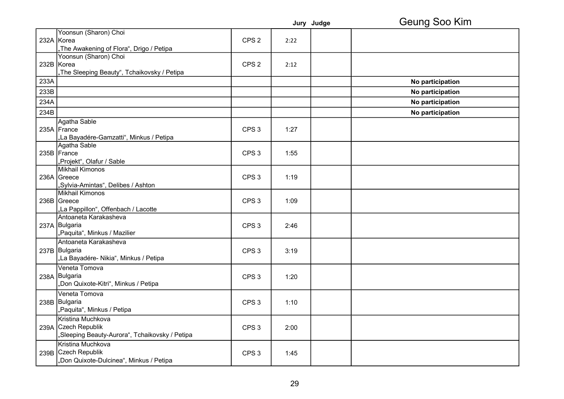|      |                                                                                            |                  |      | Jury Judge | Geung Soo Kim    |
|------|--------------------------------------------------------------------------------------------|------------------|------|------------|------------------|
|      | Yoonsun (Sharon) Choi<br>232A Korea<br>"The Awakening of Flora", Drigo / Petipa            | CPS <sub>2</sub> | 2:22 |            |                  |
|      | Yoonsun (Sharon) Choi<br>232B Korea<br>"The Sleeping Beauty", Tchaikovsky / Petipa         | CPS <sub>2</sub> | 2:12 |            |                  |
| 233A |                                                                                            |                  |      |            | No participation |
| 233B |                                                                                            |                  |      |            | No participation |
| 234A |                                                                                            |                  |      |            | No participation |
| 234B |                                                                                            |                  |      |            | No participation |
|      | Agatha Sable<br>235A France<br>"La Bayadére-Gamzatti", Minkus / Petipa                     | CPS <sub>3</sub> | 1:27 |            |                  |
|      | Agatha Sable<br>235B France<br>"Projekt", Olafur / Sable                                   | CPS <sub>3</sub> | 1:55 |            |                  |
|      | Mikhail Kimonos<br>236A Greece<br>"Sylvia-Amintas", Delibes / Ashton                       | CPS <sub>3</sub> | 1:19 |            |                  |
|      | Mikhail Kimonos<br>236B Greece<br>"La Pappillon", Offenbach / Lacotte                      | CPS <sub>3</sub> | 1:09 |            |                  |
|      | Antoaneta Karakasheva<br>237A Bulgaria<br>"Paquita", Minkus / Mazilier                     | CPS <sub>3</sub> | 2:46 |            |                  |
|      | Antoaneta Karakasheva<br>237B Bulgaria<br>"La Bayadére- Nikia", Minkus / Petipa            | CPS <sub>3</sub> | 3:19 |            |                  |
|      | Veneta Tomova<br>238A Bulgaria<br>"Don Quixote-Kitri", Minkus / Petipa                     | CPS <sub>3</sub> | 1:20 |            |                  |
|      | Veneta Tomova<br>238B Bulgaria<br>"Paquita", Minkus / Petipa                               | CPS <sub>3</sub> | 1:10 |            |                  |
|      | Kristina Muchkova<br>239A Czech Republik<br>"Sleeping Beauty-Aurora", Tchaikovsky / Petipa | CPS <sub>3</sub> | 2:00 |            |                  |
|      | Kristina Muchkova<br>239B Czech Republik<br>"Don Quixote-Dulcinea", Minkus / Petipa        | CPS <sub>3</sub> | 1:45 |            |                  |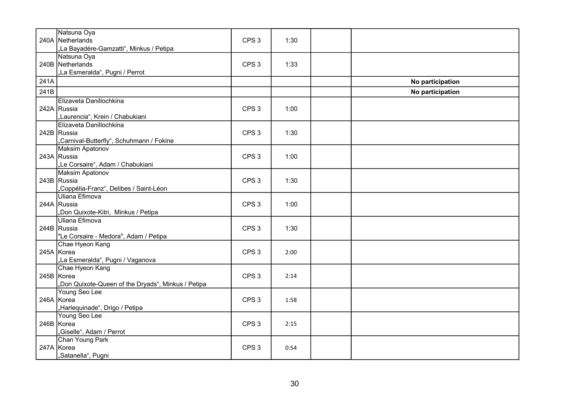|      | Natsuna Oya                                       |                  |      |                  |
|------|---------------------------------------------------|------------------|------|------------------|
|      | 240A Netherlands                                  | CPS <sub>3</sub> | 1:30 |                  |
|      | "La Bayadére-Gamzatti", Minkus / Petipa           |                  |      |                  |
|      | Natsuna Oya                                       |                  |      |                  |
|      | 240B Netherlands                                  | CPS <sub>3</sub> | 1:33 |                  |
|      | "La Esmeralda", Pugni / Perrot                    |                  |      |                  |
| 241A |                                                   |                  |      | No participation |
| 241B |                                                   |                  |      | No participation |
|      | Elizaveta Danillochkina                           |                  |      |                  |
|      | 242A Russia                                       | CPS <sub>3</sub> | 1:00 |                  |
|      | "Laurencia", Krein / Chabukiani                   |                  |      |                  |
|      | Elizaveta Danillochkina                           |                  |      |                  |
|      | 242B Russia                                       | CPS <sub>3</sub> | 1:30 |                  |
|      | "Carnival-Butterfly", Schuhmann / Fokine          |                  |      |                  |
|      | <b>Maksim Apatonov</b>                            |                  |      |                  |
|      | 243A Russia                                       | CPS <sub>3</sub> | 1:00 |                  |
|      | "Le Corsaire", Adam / Chabukiani                  |                  |      |                  |
|      | <b>Maksim Apatonov</b>                            |                  |      |                  |
|      | 243B Russia                                       | CPS <sub>3</sub> | 1:30 |                  |
|      | Coppélia-Franz", Delibes / Saint-Léon             |                  |      |                  |
|      | Uliana Efimova                                    |                  |      |                  |
|      | 244A Russia                                       | CPS <sub>3</sub> | 1:00 |                  |
|      | "Don Quixote-Kitri, Minkus / Petipa               |                  |      |                  |
|      | Uliana Efimova                                    |                  |      |                  |
|      | 244B Russia                                       | CPS <sub>3</sub> | 1:30 |                  |
|      | "Le Corsaire - Medora", Adam / Petipa             |                  |      |                  |
|      | Chae Hyeon Kang                                   |                  |      |                  |
|      | 245A Korea                                        | CPS <sub>3</sub> | 2:00 |                  |
|      | "La Esmeralda", Pugni / Vaganova                  |                  |      |                  |
|      | Chae Hyeon Kang                                   |                  |      |                  |
|      | 245B Korea                                        | CPS <sub>3</sub> | 2:14 |                  |
|      | Don Quixote-Queen of the Dryads", Minkus / Petipa |                  |      |                  |
|      | Young Seo Lee                                     |                  |      |                  |
|      | 246A Korea                                        | CPS <sub>3</sub> | 1:58 |                  |
|      | "Harlequinade", Drigo / Petipa                    |                  |      |                  |
|      | Young Seo Lee                                     |                  |      |                  |
|      | 246B Korea                                        | CPS <sub>3</sub> | 2:15 |                  |
|      | Giselle", Adam / Perrot                           |                  |      |                  |
|      | Chan Young Park                                   |                  |      |                  |
|      | 247A Korea                                        | CPS <sub>3</sub> | 0:54 |                  |
|      | ,Satanella", Pugni                                |                  |      |                  |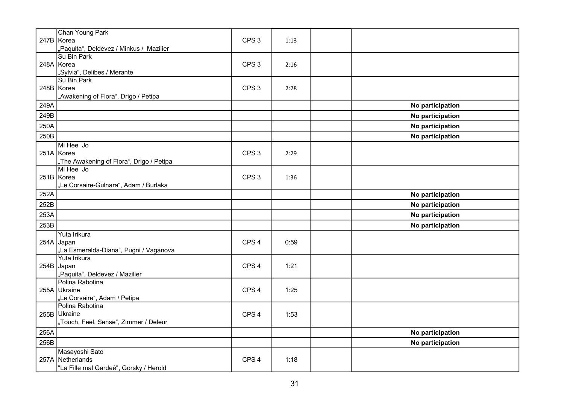|      | Chan Young Park<br>247B Korea<br>"Paquita", Deldevez / Minkus / Mazilier     | CPS <sub>3</sub> | 1:13 |                  |
|------|------------------------------------------------------------------------------|------------------|------|------------------|
|      | Su Bin Park<br>248A Korea<br>"Sylvia", Delibes / Merante                     | CPS <sub>3</sub> | 2:16 |                  |
|      | Su Bin Park<br>248B Korea<br>"Awakening of Flora", Drigo / Petipa            | CPS <sub>3</sub> | 2:28 |                  |
| 249A |                                                                              |                  |      | No participation |
| 249B |                                                                              |                  |      | No participation |
| 250A |                                                                              |                  |      | No participation |
| 250B |                                                                              |                  |      | No participation |
|      | Mi Hee Jo<br>251A Korea<br>"The Awakening of Flora", Drigo / Petipa          | CPS <sub>3</sub> | 2:29 |                  |
|      | Mi Hee Jo<br>251B Korea<br>"Le Corsaire-Gulnara", Adam / Burlaka             | CPS <sub>3</sub> | 1:36 |                  |
| 252A |                                                                              |                  |      | No participation |
| 252B |                                                                              |                  |      | No participation |
| 253A |                                                                              |                  |      | No participation |
| 253B |                                                                              |                  |      | No participation |
|      | Yuta Irikura<br>254A Japan<br>"La Esmeralda-Diana", Pugni / Vaganova         | CPS <sub>4</sub> | 0:59 |                  |
|      | Yuta Irikura<br>254B Japan<br>"Paquita", Deldevez / Mazilier                 | CPS <sub>4</sub> | 1:21 |                  |
|      | Polina Rabotina<br>255A Ukraine<br>"Le Corsaire", Adam / Petipa              | CPS <sub>4</sub> | 1:25 |                  |
|      | Polina Rabotina<br>255B Ukraine<br>"Touch, Feel, Sense", Zimmer / Deleur     | CPS <sub>4</sub> | 1:53 |                  |
| 256A |                                                                              |                  |      | No participation |
| 256B |                                                                              |                  |      | No participation |
|      | Masayoshi Sato<br>257A Netherlands<br>"La Fille mal Gardeé", Gorsky / Herold | CPS <sub>4</sub> | 1:18 |                  |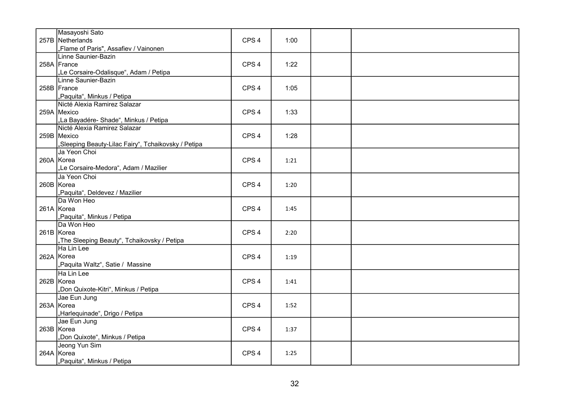| Masayoshi Sato                                      |                  |      |  |
|-----------------------------------------------------|------------------|------|--|
| 257B Netherlands                                    | CPS <sub>4</sub> | 1:00 |  |
| "Flame of Paris", Assafiev / Vainonen               |                  |      |  |
| Linne Saunier-Bazin                                 |                  |      |  |
| 258A France                                         | CPS <sub>4</sub> | 1:22 |  |
| "Le Corsaire-Odalisque", Adam / Petipa              |                  |      |  |
| Linne Saunier-Bazin                                 |                  |      |  |
| 258B France                                         | CPS <sub>4</sub> | 1:05 |  |
| "Paquita", Minkus / Petipa                          |                  |      |  |
| Nicté Alexia Ramirez Salazar                        |                  |      |  |
| 259A Mexico                                         | CPS <sub>4</sub> | 1:33 |  |
| "La Bayadére- Shade", Minkus / Petipa               |                  |      |  |
| Nicté Alexia Ramirez Salazar                        |                  |      |  |
| 259B Mexico                                         | CPS <sub>4</sub> | 1:28 |  |
| "Sleeping Beauty-Lilac Fairy", Tchaikovsky / Petipa |                  |      |  |
| Ja Yeon Choi                                        |                  |      |  |
| 260A Korea                                          | CPS <sub>4</sub> | 1:21 |  |
| "Le Corsaire-Medora", Adam / Mazilier               |                  |      |  |
| Ja Yeon Choi                                        |                  |      |  |
| 260B Korea                                          | CPS <sub>4</sub> | 1:20 |  |
| "Paquita", Deldevez / Mazilier                      |                  |      |  |
| Da Won Heo                                          |                  |      |  |
| 261A Korea                                          | CPS <sub>4</sub> | 1:45 |  |
| "Paquita", Minkus / Petipa                          |                  |      |  |
| Da Won Heo                                          |                  |      |  |
| 261B Korea                                          | CPS <sub>4</sub> | 2:20 |  |
| "The Sleeping Beauty", Tchaikovsky / Petipa         |                  |      |  |
| Ha Lin Lee                                          |                  |      |  |
| 262A Korea                                          | CPS <sub>4</sub> | 1:19 |  |
| "Paquita Waltz", Satie / Massine                    |                  |      |  |
| Ha Lin Lee                                          |                  |      |  |
| 262B Korea                                          | CPS <sub>4</sub> | 1:41 |  |
| "Don Quixote-Kitri", Minkus / Petipa                |                  |      |  |
| Jae Eun Jung                                        |                  |      |  |
| 263A Korea                                          | CPS <sub>4</sub> | 1:52 |  |
| "Harlequinade", Drigo / Petipa                      |                  |      |  |
| Jae Eun Jung                                        |                  |      |  |
| 263B Korea                                          | CPS <sub>4</sub> | 1:37 |  |
| "Don Quixote", Minkus / Petipa                      |                  |      |  |
| Jeong Yun Sim                                       |                  |      |  |
| 264A Korea                                          | CPS <sub>4</sub> | 1:25 |  |
| "Paquita", Minkus / Petipa                          |                  |      |  |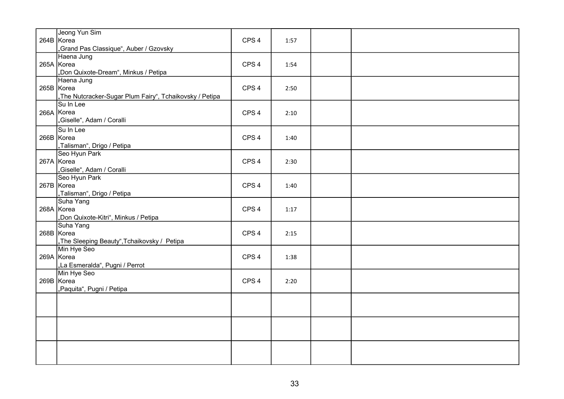| Jeong Yun Sim                                           |                  |      |  |
|---------------------------------------------------------|------------------|------|--|
| 264B Korea                                              | CPS <sub>4</sub> | 1:57 |  |
| "Grand Pas Classique", Auber / Gzovsky                  |                  |      |  |
| Haena Jung                                              |                  |      |  |
| 265A Korea                                              | CPS <sub>4</sub> | 1:54 |  |
| "Don Quixote-Dream", Minkus / Petipa                    |                  |      |  |
| Haena Jung                                              |                  |      |  |
| 265B Korea                                              | CPS <sub>4</sub> | 2:50 |  |
| "The Nutcracker-Sugar Plum Fairy", Tchaikovsky / Petipa |                  |      |  |
| Su In Lee                                               |                  |      |  |
| 266A Korea                                              | CPS <sub>4</sub> | 2:10 |  |
| "Giselle", Adam / Coralli                               |                  |      |  |
| Su In Lee                                               |                  |      |  |
| 266B Korea                                              | CPS <sub>4</sub> | 1:40 |  |
| "Talisman", Drigo / Petipa                              |                  |      |  |
| Seo Hyun Park                                           |                  |      |  |
| 267A Korea                                              | CPS <sub>4</sub> | 2:30 |  |
| "Giselle", Adam / Coralli                               |                  |      |  |
| Seo Hyun Park                                           |                  |      |  |
| 267B Korea                                              | CPS <sub>4</sub> | 1:40 |  |
| "Talisman", Drigo / Petipa                              |                  |      |  |
| Suha Yang                                               |                  |      |  |
| 268A Korea                                              | CPS <sub>4</sub> | 1:17 |  |
| "Don Quixote-Kitri", Minkus / Petipa                    |                  |      |  |
| Suha Yang                                               |                  |      |  |
| 268B Korea                                              | CPS <sub>4</sub> | 2:15 |  |
| "The Sleeping Beauty",Tchaikovsky / Petipa              |                  |      |  |
| Min Hye Seo                                             |                  |      |  |
| 269A Korea                                              | CPS <sub>4</sub> | 1:38 |  |
| "La Esmeralda", Pugni / Perrot                          |                  |      |  |
| Min Hye Seo                                             |                  |      |  |
| 269B Korea                                              | CPS <sub>4</sub> | 2:20 |  |
| "Paquita", Pugni / Petipa                               |                  |      |  |
|                                                         |                  |      |  |
|                                                         |                  |      |  |
|                                                         |                  |      |  |
|                                                         |                  |      |  |
|                                                         |                  |      |  |
|                                                         |                  |      |  |
|                                                         |                  |      |  |
|                                                         |                  |      |  |
|                                                         |                  |      |  |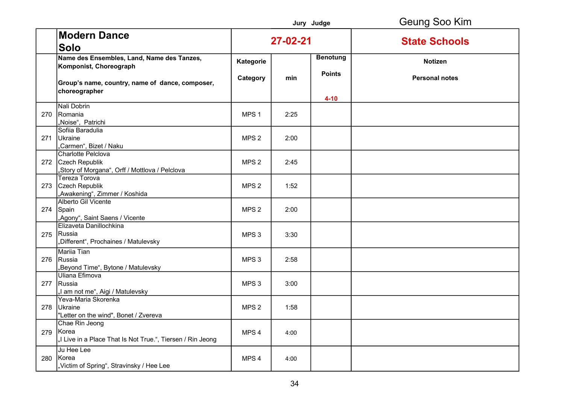|     |                                                                                            |                  |      | Jury Judge                       | Geung Soo Kim         |
|-----|--------------------------------------------------------------------------------------------|------------------|------|----------------------------------|-----------------------|
|     | <b>Modern Dance</b><br><b>Solo</b>                                                         | 27-02-21         |      |                                  | <b>State Schools</b>  |
|     | Name des Ensembles, Land, Name des Tanzes,<br>Komponist, Choreograph                       | Kategorie        |      | <b>Benotung</b><br><b>Points</b> | <b>Notizen</b>        |
|     | Group's name, country, name of dance, composer,<br>choreographer                           | Category         | min  | $4 - 10$                         | <b>Personal notes</b> |
|     | Nali Dobrin<br>270 Romania<br>"Noise", Patrichi                                            | MPS <sub>1</sub> | 2:25 |                                  |                       |
|     | Sofiia Baradulia<br>271 Ukraine<br>"Carmen", Bizet / Naku                                  | MPS <sub>2</sub> | 2:00 |                                  |                       |
|     | Charlotte Pelclova<br>272 Czech Republik<br>,Story of Morgana", Orff / Mottlova / Pelclova | MPS <sub>2</sub> | 2:45 |                                  |                       |
|     | <b>Tereza Torova</b><br>273 Czech Republik<br>"Awakening", Zimmer / Koshida                | MPS <sub>2</sub> | 1:52 |                                  |                       |
|     | Alberto Gil Vicente<br>274 Spain<br>"Agony", Saint Saens / Vicente                         | MPS <sub>2</sub> | 2:00 |                                  |                       |
|     | Elizaveta Danillochkina<br>275 Russia<br>"Different", Prochaines / Matulevsky              | MPS <sub>3</sub> | 3:30 |                                  |                       |
|     | <b>Mariia Tian</b><br>276 Russia<br>,Beyond Time", Bytone / Matulevsky                     | MPS <sub>3</sub> | 2:58 |                                  |                       |
|     | Uliana Efimova<br>277 Russia<br>,I am not me", Aigi / Matulevsky                           | MPS <sub>3</sub> | 3:00 |                                  |                       |
|     | Yeva-Maria Skorenka<br>278 Ukraine<br>"Letter on the wind", Bonet / Zvereva                | MPS <sub>2</sub> | 1:58 |                                  |                       |
| 279 | Chae Rin Jeong<br>Korea<br>"I Live in a Place That Is Not True.", Tiersen / Rin Jeong      | MPS <sub>4</sub> | 4:00 |                                  |                       |
|     | Ju Hee Lee<br>280 Korea<br>"Victim of Spring", Stravinsky / Hee Lee                        | MPS 4            | 4:00 |                                  |                       |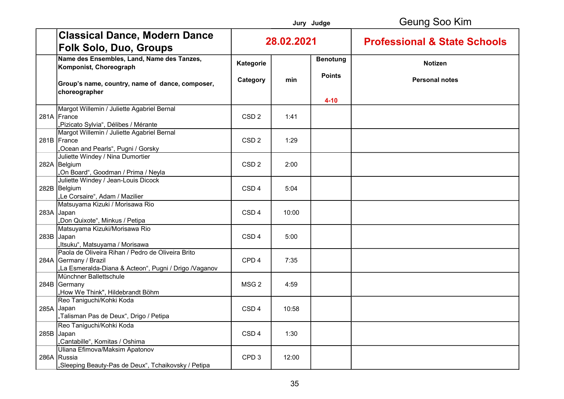|                                                                                                                                     |                  |            | Jury Judge      | Geung Soo Kim                           |
|-------------------------------------------------------------------------------------------------------------------------------------|------------------|------------|-----------------|-----------------------------------------|
| <b>Classical Dance, Modern Dance</b><br><b>Folk Solo, Duo, Groups</b>                                                               |                  | 28.02.2021 |                 | <b>Professional &amp; State Schools</b> |
| Name des Ensembles, Land, Name des Tanzes,<br>Komponist, Choreograph                                                                | Kategorie        |            | <b>Benotung</b> | Notizen                                 |
| Group's name, country, name of dance, composer,<br>choreographer                                                                    | Category         | min        | <b>Points</b>   | <b>Personal notes</b>                   |
|                                                                                                                                     |                  |            | $4 - 10$        |                                         |
| Margot Willemin / Juliette Agabriel Bernal<br>281A France<br>"Pizicato Sylvia", Délibes / Mérante                                   | CSD <sub>2</sub> | 1:41       |                 |                                         |
| Margot Willemin / Juliette Agabriel Bernal<br>281B France<br>Ocean and Pearls", Pugni / Gorsky,                                     | CSD <sub>2</sub> | 1:29       |                 |                                         |
| Juliette Windey / Nina Dumortier<br>282A Belgium<br>On Board", Goodman / Prima / Neyla                                              | CSD <sub>2</sub> | 2:00       |                 |                                         |
| Juliette Windey / Jean-Louis Dicock<br>282B Belgium<br>"Le Corsaire", Adam / Mazilier                                               | CSD <sub>4</sub> | 5:04       |                 |                                         |
| Matsuyama Kizuki / Morisawa Rio<br>283A Japan<br>"Don Quixote", Minkus / Petipa                                                     | CSD <sub>4</sub> | 10:00      |                 |                                         |
| Matsuyama Kizuki/Morisawa Rio<br>283B Japan<br>"Itsuku", Matsuyama / Morisawa                                                       | CSD <sub>4</sub> | 5:00       |                 |                                         |
| Paola de Oliveira Rihan / Pedro de Oliveira Brito<br>284A Germany / Brazil<br>"La Esmeralda-Diana & Acteon", Pugni / Drigo /Vaganov | CPD <sub>4</sub> | 7:35       |                 |                                         |
| Münchner Ballettschule<br>284B Germany<br>"How We Think", Hildebrandt Böhm                                                          | MSG <sub>2</sub> | 4:59       |                 |                                         |
| Reo Taniguchi/Kohki Koda<br>285A Japan<br>"Talisman Pas de Deux", Drigo / Petipa                                                    | CSD <sub>4</sub> | 10:58      |                 |                                         |
| Reo Taniguchi/Kohki Koda<br>285B Japan<br>"Cantabille", Komitas / Oshima                                                            | CSD <sub>4</sub> | 1:30       |                 |                                         |
| Uliana Efimova/Maksim Apatonov<br>286A Russia<br>"Sleeping Beauty-Pas de Deux", Tchaikovsky / Petipa                                | CPD <sub>3</sub> | 12:00      |                 |                                         |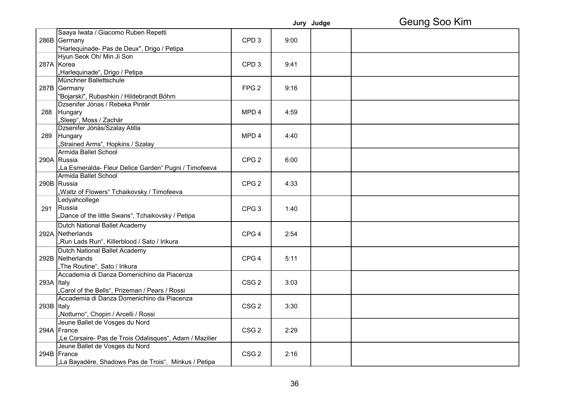|            |                                                         |                  |      | Jury Judge | Geung Soo Kim |
|------------|---------------------------------------------------------|------------------|------|------------|---------------|
|            | Saaya Iwata / Giacomo Ruben Repetti                     |                  |      |            |               |
|            | 286B Germany                                            | CPD <sub>3</sub> | 9:00 |            |               |
|            | "Harlequinade- Pas de Deux", Drigo / Petipa             |                  |      |            |               |
|            | Hyun Seok Oh/ Min Ji Son                                |                  |      |            |               |
|            | 287A Korea                                              | CPD <sub>3</sub> | 9:41 |            |               |
|            | "Harlequinade", Drigo / Petipa                          |                  |      |            |               |
|            | Münchner Ballettschule                                  |                  |      |            |               |
|            | 287B Germany                                            | FPG <sub>2</sub> | 9:16 |            |               |
|            | "Bojarski", Rubashkin / Hildebrandt Böhm                |                  |      |            |               |
|            | Dzsenifer Jónas / Rebeka Pintér                         |                  |      |            |               |
|            | 288 Hungary                                             | MPD <sub>4</sub> | 4:59 |            |               |
|            | "Sleep", Moss / Zachár                                  |                  |      |            |               |
|            | Dzsenifer Jónás/Szalay Atilla                           |                  |      |            |               |
| 289        | Hungary                                                 | MPD <sub>4</sub> | 4:40 |            |               |
|            | "Strained Arms", Hopkins / Szalay                       |                  |      |            |               |
|            | Armida Ballet School                                    |                  |      |            |               |
|            | 290A Russia                                             | CPG <sub>2</sub> | 6:00 |            |               |
|            | La Esmeralda- Fleur Delice Garden" Pugni / Timofeeva    |                  |      |            |               |
|            | Armida Ballet School                                    |                  |      |            |               |
|            | 290B  Russia                                            | CPG <sub>2</sub> | 4:33 |            |               |
|            | "Waltz of Flowers" Tchaikovsky / Timofeeva              |                  |      |            |               |
|            | Ledyahcollege                                           |                  |      |            |               |
|            | 291 Russia                                              | CPG <sub>3</sub> | 1:40 |            |               |
|            | "Dance of the little Swans", Tchaikovsky / Petipa       |                  |      |            |               |
|            | Dutch National Ballet Academy                           |                  |      |            |               |
|            | 292A Netherlands                                        | CPG <sub>4</sub> | 2:54 |            |               |
|            | "Run Lads Run", Killerblood / Sato / Irikura            |                  |      |            |               |
|            | Dutch National Ballet Academy                           |                  |      |            |               |
|            | 292B Netherlands                                        | CPG <sub>4</sub> | 5:11 |            |               |
|            | "The Routine", Sato / Irikura                           |                  |      |            |               |
|            | Accademia di Danza Domenichino da Piacenza              |                  |      |            |               |
| 293A Italy |                                                         | CSG <sub>2</sub> | 3:03 |            |               |
|            | "Carol of the Bells", Prizeman / Pears / Rossi          |                  |      |            |               |
|            | Accademia di Danza Domenichino da Piacenza              |                  |      |            |               |
| 293B Italy |                                                         | CSG <sub>2</sub> | 3:30 |            |               |
|            | "Notturno", Chopin / Arcelli / Rossi                    |                  |      |            |               |
|            | Jeune Ballet de Vosges du Nord                          |                  |      |            |               |
|            | 294A France                                             | CSG <sub>2</sub> | 2:29 |            |               |
|            | "Le Corsaire- Pas de Trois Odalisques", Adam / Mazilier |                  |      |            |               |
|            | Jeune Ballet de Vosges du Nord                          |                  |      |            |               |
|            | 294B France                                             | CSG <sub>2</sub> | 2:16 |            |               |
|            | La Bayadére, Shadows Pas de Trois", Minkus / Petipa     |                  |      |            |               |